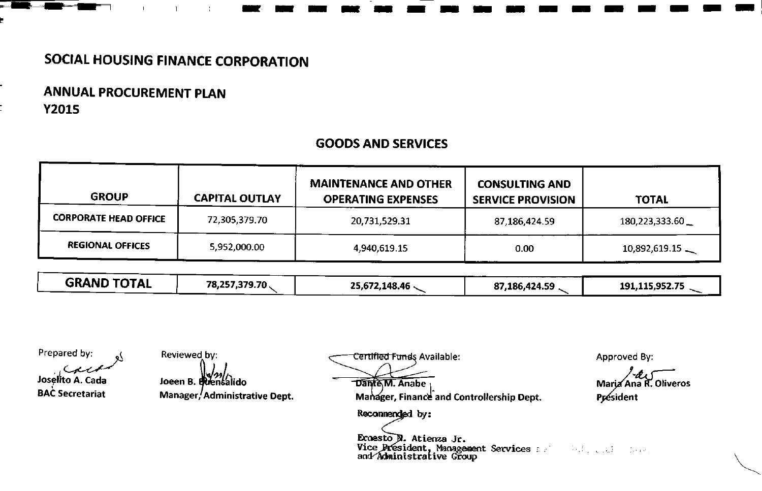# **ANNUAL PROCUREMENT PLAN Y2015**

# **GOODS AND SERVICES**

| <b>GROUP</b>                 | <b>CAPITAL OUTLAY</b> | <b>MAINTENANCE AND OTHER</b><br><b>OPERATING EXPENSES</b> | <b>CONSULTING AND</b><br><b>SERVICE PROVISION</b> | <b>TOTAL</b>           |
|------------------------------|-----------------------|-----------------------------------------------------------|---------------------------------------------------|------------------------|
| <b>CORPORATE HEAD OFFICE</b> | 72,305,379.70         | 20,731,529.31                                             | 87,186,424.59                                     | 180,223,333.60         |
| <b>REGIONAL OFFICES</b>      | 5,952,000.00          | 4,940,619.15                                              | $0.00\,$                                          | $10,892,619.15$ $\sim$ |

| 78,257,379.70<br>25,672,148.46<br>191,115,952.75<br>87,186,424.59 | <b>GRAND TOTAL</b> |  |  |  |  |  |
|-------------------------------------------------------------------|--------------------|--|--|--|--|--|
|-------------------------------------------------------------------|--------------------|--|--|--|--|--|

Prepared by:

Joselito A. Cada

**BAC Secretariat** 

Reviewed by:

Joeen B. Buensalido Manager, Administrative Dept.

Certified Funds Available:

Dante M. Anabe Manager, Finance and Controllership Dept.

Recommended by:

**Exasto N. Atienza Jr.**<br>Vice President, Management Services and Administrative Group

Approved By:

Maria Ana R. Oliveros Président

 $\mathcal{A}(\mathcal{A})$  , and  $\mathcal{A}$  , and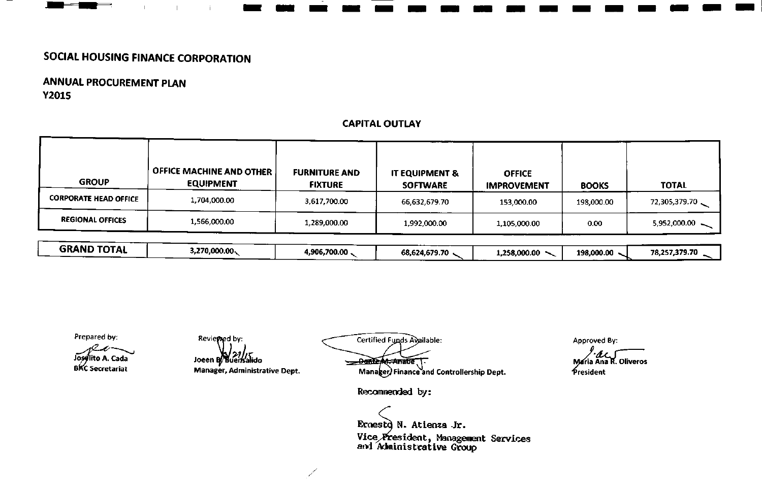$\sim 10$ 

 $\pm 1$ 

 $\mathbf{i}$ 

### **ANNUAL PROCUREMENT PLAN Y2015**

 $\blacksquare$ 

 $\blacksquare$ 

| <b>OFFICE MACHINE AND OTHER  </b><br><b>FURNITURE AND</b><br>IT EQUIPMENT &<br><b>OFFICE</b><br><b>GROUP</b><br><b>EQUIPMENT</b><br><b>FIXTURE</b><br><b>SOFTWARE</b><br><b>IMPROVEMENT</b> | <b>BOOKS</b> | <b>TOTAL</b>  |
|---------------------------------------------------------------------------------------------------------------------------------------------------------------------------------------------|--------------|---------------|
| <b>CORPORATE HEAD OFFICE</b><br>1,704,000.00<br>3,617,700.00<br>66,632,679.70<br>153,000.00                                                                                                 | 198,000.00   | 72,305,379.70 |
| <b>REGIONAL OFFICES</b><br>1,566,000.00<br>1,289,000.00<br>1,992,000.00<br>1,105,000.00                                                                                                     | 0.00         | 5,952,000.00  |

**CAPITAL OUTLAY** 

| <b>GRAND TOTAL</b><br>3.270.000.00<br>4,906,700.00<br>78,257,379.70<br>68,624,679.70<br>198.000.00<br>1,258,000.00 |  |
|--------------------------------------------------------------------------------------------------------------------|--|
|--------------------------------------------------------------------------------------------------------------------|--|

Prepared by:

Joselito A. Cada

**B**KC Secretariat

Reviewed by: Joeen By Buertsalido

Manager, Administrative Dept.

Certified Funds Available: **Danie M. Anabe** | .<br>Manager) Finance and Controllership Dept.

Recommended by:

Ernesto N. Atienza Jr. Vice President, Management Services<br>and Administrative Group Approved By:

Maria Ana R. Oliveros President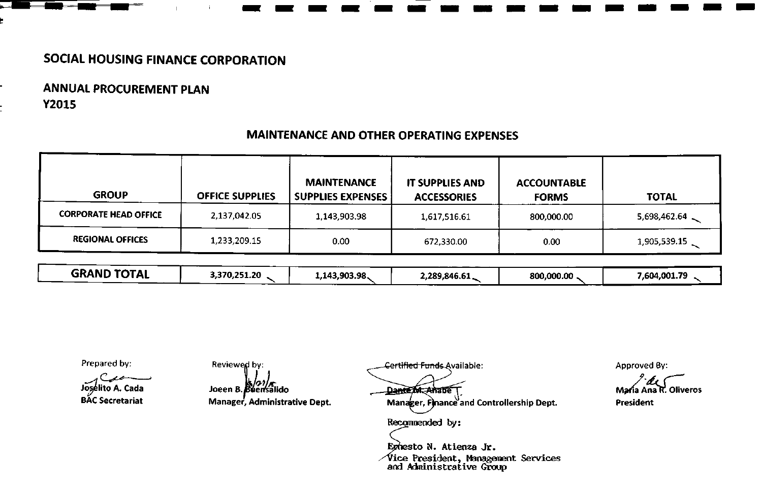**ANNUAL PROCUREMENT PLAN Y2015** 

| <b>GROUP</b>                 | <b>OFFICE SUPPLIES</b> | <b>MAINTENANCE</b><br><b>SUPPLIES EXPENSES</b> | <b>IT SUPPLIES AND</b><br><b>ACCESSORIES</b> | <b>ACCOUNTABLE</b><br><b>FORMS</b> | <b>TOTAL</b> |
|------------------------------|------------------------|------------------------------------------------|----------------------------------------------|------------------------------------|--------------|
| <b>CORPORATE HEAD OFFICE</b> | 2,137,042.05           | 1,143,903.98                                   | 1,617,516.61                                 | 800,000.00                         | 5,698,462.64 |
| <b>REGIONAL OFFICES</b>      | 1,233,209.15           | 0.00                                           | 672,330.00                                   | 0.00                               | 1,905,539.15 |

### **MAINTENANCE AND OTHER OPERATING EXPENSES**

| <b>GRAND TOTAL</b><br>`.370,251.20<br>1,143,903.98.<br>2,289,846.61,<br>800.000.00 | /,604,001.79 |
|------------------------------------------------------------------------------------|--------------|
|------------------------------------------------------------------------------------|--------------|

Prepared by:

Josélito A. Cada **BAC Secretariat** 

Joeen B. Buensalido Manager, Administrative Dept.

Reviewed by:

Certified Funds Available:

Dante M. Anabe

Manager, Finance and Controllership Dept.

Recommended by:

Egnesto N. Atienza Jr. Vice President, Management Services<br>and Administrative Group

**Approved By:** 

lLL María Ana R. Oliveros President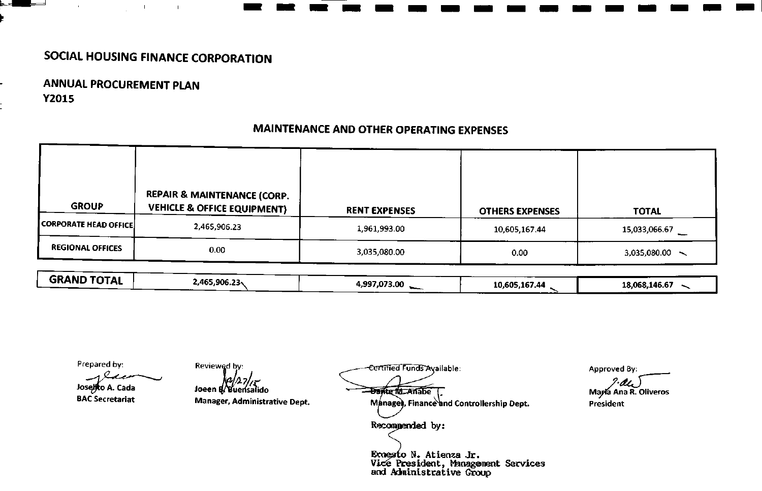$\sim 10$ 

 $\sim 10^5$ 

## **ANNUAL PROCUREMENT PLAN Y2015**

 $\mathcal{L}_{\mathrm{L}}$ 

### **MAINTENANCE AND OTHER OPERATING EXPENSES**

| <b>GROUP</b>            | REPAIR & MAINTENANCE (CORP.<br><b>VEHICLE &amp; OFFICE EQUIPMENT)</b> | <b>RENT EXPENSES</b> | <b>OTHERS EXPENSES</b> | <b>TOTAL</b>     |
|-------------------------|-----------------------------------------------------------------------|----------------------|------------------------|------------------|
| CORPORATE HEAD OFFICE   | 2,465,906.23                                                          | 1,961,993.00         | 10,605,167.44          | 15,033,066.67    |
| <b>REGIONAL OFFICES</b> | 0.00                                                                  | 3,035,080.00         | 0.00                   | $3,035,080.00$ ~ |

| <b>GRAND TOTAL</b> | 2,465,906.23 | 4,997,073.00 | 10,605,167.44<br>___ | 18,068,146.67 |
|--------------------|--------------|--------------|----------------------|---------------|
|                    |              |              |                      |               |

Prepared by:

مەمىر بەر Joselfto A. Cada **BAC Secretariat** 

Reviewed by: Joeen B/Buensalido

Manager, Administrative Dept.

Certified Funds Available:

**Dante for Anabe** Manage), Finance and Controllership Dept.

Recompended by:

Ecnesto N. Atienza Jr.<br>Vice President, Management Services<br>and Administrative Group

Approved By:

AL J<br>María Ana R. Oliveros President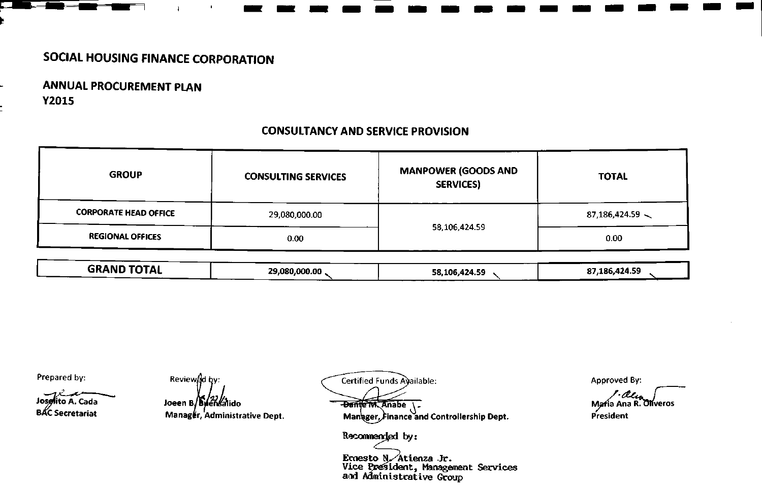ANNUAL PROCUREMENT PLAN Y2015

| <b>GROUP</b>                 | <b>CONSULTING SERVICES</b> | <b>MANPOWER (GOODS AND</b><br><b>SERVICES)</b> | <b>TOTAL</b>           |
|------------------------------|----------------------------|------------------------------------------------|------------------------|
| <b>CORPORATE HEAD OFFICE</b> | 29,080,000.00              |                                                | $87,186,424.59$ $\sim$ |
| <b>REGIONAL OFFICES</b>      | 0.00                       | 58,106,424.59                                  | 0.00                   |
| <b>GRAND TOTAL</b>           | 29,080,000.00              | 58,106,424.59                                  | 87,186,424.59          |

### CONSULTANCY AND SERVICE PROVISION

**----------------**

Prepared by:

Joselito A. Cada BAC Secretariat

Reviewed by: Joeen B/Buensalido

Manager, Administrative Dept.

**Certified Funds Available: Dante M. Anabe**<br>Manager, Finance and Controllership Dept.

Recommended by:

Ecoesto N⁄Atienza Jr.<br>Vice President, Management Services and Administrative Group

Approved By:

Maria Ana R. Oliveros

President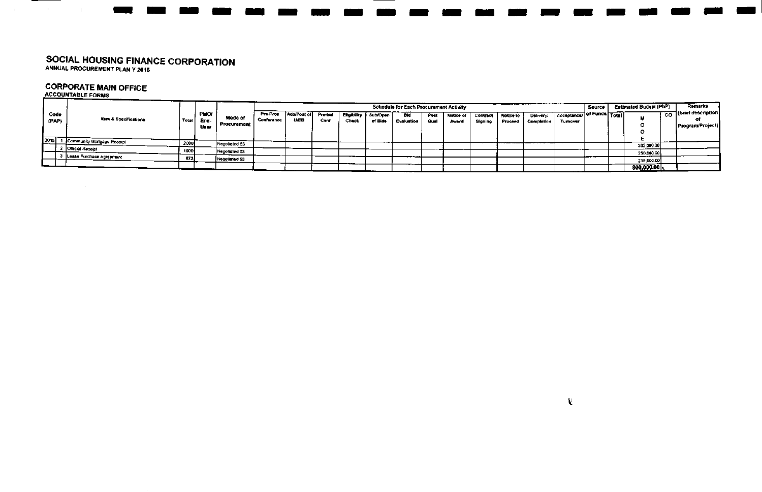# SOCIAL HOUSING FINANCE CORPORATION ANNUAL PROCUREMENTPLAN Y 2015

 $\sim 100$ 

# CORPORATE MAIN OFFICE ACCOUNTABLE FORMS

 $\sim$ 

 $\mathbf{L}$ 

 $\sim 10^{-1}$ 

 $\sim 10^{-1}$ 

|               |                            |       |                             |                        |                        |                            |                |                      |                       | <b>Schedule for Each Procurement Activity</b> |              |                    |                     |                      |                                |                                       | Source | <b>Estimated Budget (PhP)</b> |      | <b>Remarks</b>                               |
|---------------|----------------------------|-------|-----------------------------|------------------------|------------------------|----------------------------|----------------|----------------------|-----------------------|-----------------------------------------------|--------------|--------------------|---------------------|----------------------|--------------------------------|---------------------------------------|--------|-------------------------------|------|----------------------------------------------|
| Code<br>(PAP) | Item & Specifications      | Total | <b>PMO/</b><br>End-<br>User | Mode of<br>Procurement | Pre-Proc<br>Conference | Ads/Post of<br><b>IAEB</b> | Pre-bid<br>Com | Eligibility<br>Check | Í SubfOnen<br>of Bids | Bid<br>Evaluation                             | Post<br>Qual | Notice of<br>Award | Contract<br>Signing | Notice to<br>Proceed | Delivery!<br><b>Completion</b> | Acceptance/ of Funds Total<br>Tumover |        |                               | ⊺co. | (brief description<br>o۱<br>Program/Project) |
| [2015]<br>--  | Community Mortgage Receipt | 2000  |                             | Negotiated 53          |                        |                            |                |                      |                       |                                               |              |                    |                     |                      |                                |                                       |        | 332,000.00                    |      |                                              |
|               | <b>Official Receipt</b>    | 1000  |                             | Negotiated 53          |                        |                            |                |                      |                       |                                               |              |                    |                     |                      |                                |                                       |        | 250,000.00                    |      |                                              |
|               | ∢ Lease Purchase Agreement | 872.  |                             | Negotiated 53          |                        |                            |                |                      |                       |                                               |              |                    |                     |                      |                                |                                       |        | 218,000.00                    |      |                                              |
|               |                            |       |                             |                        |                        |                            |                | ---                  |                       |                                               |              |                    |                     |                      |                                |                                       |        | 800,000.00                    |      |                                              |

---- --------------

ان<br>-<br>-

 $\mathbf{V}$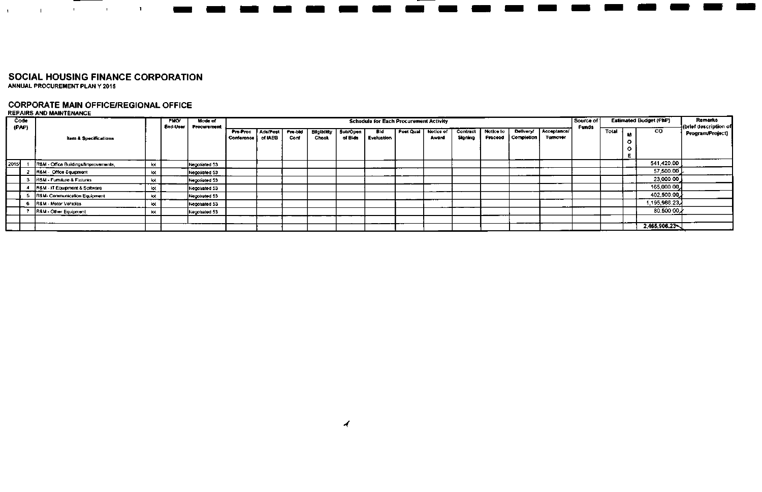$\sim 1$ 

 $\mathbf 1$ 

**ANNUAL PROCUREMENT PLAN** Y 2015

#### **CORPORATE MAIN OFFICE/REGIONAL OFFICE**

**REPAIRS AND MAINTENANCE**

 $\mathbf{A}^{(n)}$  and  $\mathbf{A}^{(n)}$  and  $\mathbf{A}^{(n)}$  and  $\mathbf{A}^{(n)}$ 

| Code<br>(PAP) |                                      |     | <b>PMO/</b><br>End-User | Mode of<br>Procurement |                        |                     |                 |                      |                     | <b>Schedule for Each Procurement Activity</b> |           |                    |                     |                      |                                       |                                | Source of<br><b>Funds</b> |       | <b>Estimated Budget (PhP)</b> | Remarks<br>(Ibrief description of |                  |
|---------------|--------------------------------------|-----|-------------------------|------------------------|------------------------|---------------------|-----------------|----------------------|---------------------|-----------------------------------------------|-----------|--------------------|---------------------|----------------------|---------------------------------------|--------------------------------|---------------------------|-------|-------------------------------|-----------------------------------|------------------|
|               |                                      |     |                         |                        | Pre-Proc<br>Conference | Ads/Post<br>of IAEB | Pre-bid<br>Conf | Eligibliity<br>Check | Sub/Open<br>of Blds | Bid<br>Evaluation                             | Post Qual | Notice of<br>Award | Contract<br>Signing | Notice to<br>Proceed | <b>Delivery/</b><br><b>Completion</b> | Acceptance/<br><b>Turnover</b> |                           | Total | м                             | co.                               | Program/Project) |
|               | Item & Specifications                |     |                         |                        |                        |                     |                 |                      |                     |                                               |           |                    |                     |                      |                                       |                                |                           |       | o                             |                                   |                  |
|               |                                      |     |                         |                        |                        |                     |                 |                      |                     |                                               |           |                    |                     |                      |                                       |                                |                           |       | $\circ$                       |                                   |                  |
|               |                                      |     |                         |                        |                        |                     |                 |                      |                     |                                               |           |                    |                     |                      |                                       |                                |                           |       |                               |                                   |                  |
| 120151        | R&M - Office Buildings/Improvements, | kot |                         | Negotiated 53          |                        |                     |                 |                      |                     |                                               |           |                    |                     |                      |                                       |                                |                           |       |                               | 541,420.00                        |                  |
|               | R&M - Office Equipment               | kot |                         | Negotiated 53          |                        |                     |                 |                      |                     |                                               |           |                    |                     |                      |                                       |                                |                           |       |                               | 57,500.00                         |                  |
|               | R&M - Furniture & Fixtures           | lot |                         | Negotiated 53          |                        |                     |                 |                      |                     |                                               |           |                    |                     |                      |                                       |                                |                           |       |                               | 23,000.00                         |                  |
|               | R&M - IT Equipment & Software        | lot |                         | Negouated 53           |                        |                     |                 |                      |                     |                                               |           |                    |                     |                      |                                       |                                |                           |       |                               | 165,000.00                        |                  |
|               | R&M- Communication Equipment         | lot |                         | Negotiated 53          |                        |                     |                 |                      |                     |                                               |           |                    |                     |                      |                                       |                                |                           |       |                               | 402,500.00                        |                  |
| 6             | R&M - Motor Vehicles                 | lot |                         | Negotiated 53          |                        |                     |                 |                      |                     |                                               |           |                    |                     |                      |                                       |                                |                           |       |                               | 195,986.23.                       |                  |
|               | R&M - Other Equipment                | lot |                         | Negotiated 53          |                        |                     |                 |                      |                     |                                               |           |                    |                     |                      |                                       |                                |                           |       |                               | 80,500,00                         |                  |
|               |                                      |     |                         |                        |                        |                     |                 |                      |                     |                                               |           |                    |                     |                      |                                       |                                |                           |       |                               |                                   |                  |
|               |                                      |     |                         |                        |                        |                     |                 |                      |                     |                                               |           |                    |                     |                      |                                       |                                |                           |       |                               | 2,465,906.23                      |                  |

---------<del>-</del>------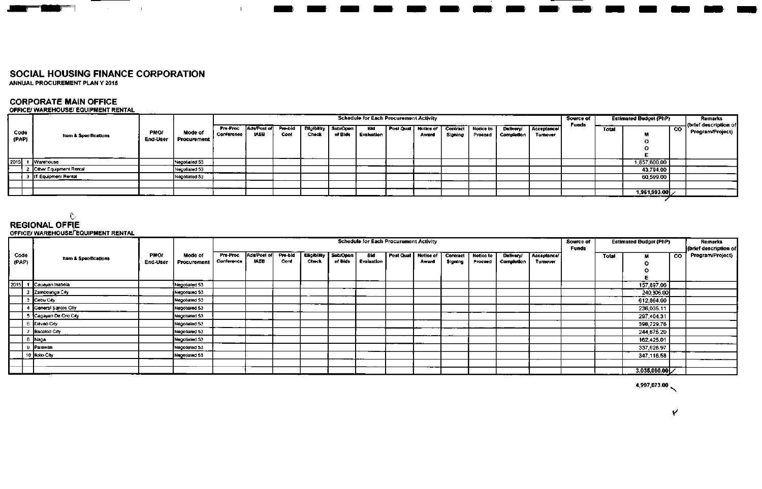$\sim$ 

 $\sim 1$ 

ANNUAL PROCUREMENT PLAN Y 2015

#### **CORPORATE MAIN OFFICE**

#### OFFICE' WAREHOUSE' EQUIPMENT RENTAL

|               |  | <b>PMO</b><br>Item & Specifications |          |                        |                        | Schedule for Each Procurement Activity |                 |                     |                     |                          |           |                    |                     |                      |                         |                        | Source of<br><b>Funds</b> |              | <b>Estimated Budget (PhP)</b> |    | <b>Remarks</b><br>(brief description of |
|---------------|--|-------------------------------------|----------|------------------------|------------------------|----------------------------------------|-----------------|---------------------|---------------------|--------------------------|-----------|--------------------|---------------------|----------------------|-------------------------|------------------------|---------------------------|--------------|-------------------------------|----|-----------------------------------------|
| Code<br>(PAP) |  |                                     | End-User | Mode of<br>Procurement | Pre-Proc<br>Conference | Ads/Post of<br><b>IAEB</b>             | Pre-bid<br>Conf | Eligibilit<br>Check | Sub/Open<br>of Bids | Bid<br><b>Evaluation</b> | Post Qual | Notice of<br>Award | Contract<br>Signing | Notice to<br>Proceed | Delivery/<br>Completion | Acceptance/<br>Tumover |                           | <b>Total</b> | $\bullet$<br>о                | СO | Program/Project)                        |
| 2015          |  | <b>Warehouse</b>                    |          | Negotiated 53          |                        |                                        |                 |                     |                     |                          |           |                    |                     |                      |                         |                        |                           |              | 1,857,600.00                  |    |                                         |
|               |  | 2 Other Equipment Rental            |          | Negotiated 53          |                        |                                        |                 |                     |                     |                          |           |                    |                     |                      |                         |                        |                           |              | 43.794.00                     |    |                                         |
|               |  | IT Equipment Rental                 |          | Negotiated 53          |                        |                                        |                 |                     |                     |                          |           |                    |                     |                      |                         |                        |                           |              | 60,599.00                     |    |                                         |
|               |  |                                     |          |                        | -----                  |                                        |                 |                     |                     |                          |           |                    |                     |                      |                         |                        |                           |              |                               |    |                                         |
|               |  |                                     |          |                        |                        |                                        |                 |                     |                     |                          |           |                    |                     |                      |                         |                        |                           |              | 1,961,993.00                  |    |                                         |
|               |  |                                     |          |                        |                        |                                        |                 |                     |                     |                          |           |                    |                     |                      |                         |                        |                           |              |                               |    |                                         |

-, -

 $\mathbf{I}$ 

 $\mathfrak{C}$ 

### **REGIONAL OFFIE**

#### OFFICE/ WAREHOUSE/EQUIPMENT RENTAL

|       |                                  |             |               |                        |                            |                 |                             |                     | <b>Schedule for Each Procurement Activity</b> |           |           |                |           |                  |                    | Source of    |       | <b>Estimated Budget (PhP)</b> |           | Remarks                                   |
|-------|----------------------------------|-------------|---------------|------------------------|----------------------------|-----------------|-----------------------------|---------------------|-----------------------------------------------|-----------|-----------|----------------|-----------|------------------|--------------------|--------------|-------|-------------------------------|-----------|-------------------------------------------|
| Code  | <b>Item &amp; Specifications</b> | <b>PMOI</b> | Mode of       | Pre-Proc<br>Conference | Ads/Post of<br><b>IAEB</b> | Pre-bld<br>Conf | <b>Eligibliity</b><br>Check | Sub/Open<br>of Bids | Bid<br>Evaluation                             | Post Qual | Notice of | Contract       | Notice to | <b>Delivery!</b> | <b>Acceptance/</b> | <b>Funds</b> | Total |                               | <b>CO</b> | (brief description of<br>Program/Project) |
| (PAP) |                                  | End-User    | Procurement   |                        |                            |                 |                             |                     |                                               |           | Award     | <b>Signing</b> | Proceed   | Completion       | Turnover           |              |       |                               |           |                                           |
|       |                                  |             |               |                        |                            |                 |                             |                     |                                               |           |           |                |           |                  |                    |              |       |                               |           |                                           |
|       | [2015] 1 Cauayan Isabela         |             | Negotiated 53 |                        |                            |                 |                             |                     |                                               |           |           |                |           |                  |                    |              |       | 157,897.06                    |           |                                           |
|       | 2 Zamboanga City                 |             | Negotiated 53 |                        |                            |                 |                             |                     |                                               |           |           |                |           |                  |                    |              |       | 240,306.00                    |           |                                           |
|       | 3 Cebu City                      |             | Negotiated 53 |                        |                            |                 |                             |                     |                                               |           |           |                |           |                  |                    |              |       | 612,864.00                    |           |                                           |
|       | 4 General Santos City            |             | Negotiated 53 |                        |                            |                 |                             |                     |                                               |           |           |                |           |                  |                    |              |       | 236,035.11                    |           |                                           |
|       | 5 Cagayan De Oro City            |             | Negotiated 53 |                        |                            |                 |                             |                     |                                               |           |           |                |           |                  |                    |              |       | 297,404.31                    |           |                                           |
|       | 6 Davac City                     |             | Negotiated 53 |                        |                            |                 |                             |                     |                                               |           |           |                |           |                  |                    |              |       | 398,729.76                    |           |                                           |
|       | 7 Bacolod City                   |             | Negotiated 53 |                        |                            |                 |                             |                     |                                               |           |           |                |           |                  |                    |              |       | 244,675.20                    |           |                                           |
|       | 6  Naga                          |             | Negotiated 53 |                        |                            |                 |                             |                     |                                               |           |           |                |           |                  |                    |              |       | 162,425.01                    |           |                                           |
|       | 9 Palawan                        |             | Neocliated 53 |                        |                            |                 |                             |                     |                                               |           |           |                |           |                  |                    |              |       | 337,626.97                    |           |                                           |
|       | 10 Iloilo City                   |             | Negoliated 53 |                        |                            |                 |                             |                     |                                               |           |           |                |           |                  |                    |              |       | 347,116.58                    |           |                                           |
|       |                                  |             |               |                        |                            |                 |                             |                     |                                               |           |           |                |           |                  |                    |              |       |                               |           |                                           |
|       |                                  |             |               |                        |                            |                 |                             |                     |                                               |           |           |                |           |                  |                    |              |       | 3,035,080.00                  |           |                                           |

 $4,997,073.00$ 

 $\blacksquare$ 

-, -

٧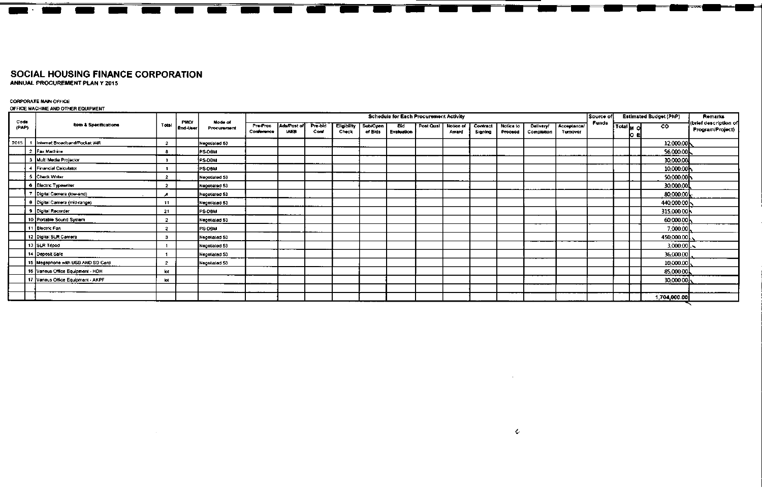#### **SOCIAL HOUSING FINANCE CORPORATION ANNUAL PROCUREMENT PLAN Y 2015**

\_

- -

 $\sim$ 

\_

--

\_\_\_\_\_\_\_\_\_\_\_

#### CORPORATE MAIN OFFICE

#### OFFICE MACHINE AND OTHER EQUIPMENT

**\_.\_** -

|               |                                    |                |                         |                        |                        |                            |                 |                             |                     | <b>Schedule for Each Procurement Activity</b> |           |                    |                     |                      |                         |                                | Source of    |                        |       | <b>Estimated Budget (PhP)</b> | Remarks                                   |
|---------------|------------------------------------|----------------|-------------------------|------------------------|------------------------|----------------------------|-----------------|-----------------------------|---------------------|-----------------------------------------------|-----------|--------------------|---------------------|----------------------|-------------------------|--------------------------------|--------------|------------------------|-------|-------------------------------|-------------------------------------------|
| Code<br>(PAP) | <b>Item &amp; Specifications</b>   | Total          | <b>PMO/</b><br>End-User | Mode of<br>Procurement | Pre-Proc<br>Conference | Ads/Post of<br><b>IAEB</b> | Pre-bld<br>Conf | <b>Eligibility</b><br>Check | Sub/Open<br>of Bids | 8id<br><b>Evaluation</b>                      | Post Qual | Notice of<br>Award | Contract<br>Signing | Notice to<br>Proceed | Delivery/<br>Completion | <b>Acceptance/</b><br>Turnover | <b>Funds</b> | $T$ otal <sub>Mo</sub> | lo el | <b>CO</b>                     | (brief description of<br>Program/Project) |
| 2015          | 1 Internet Broadband/Pocket Wifi   | $\mathbf{z}$   |                         | Negotiated 53          |                        |                            |                 |                             |                     |                                               |           |                    |                     |                      |                         |                                |              |                        |       | 12,000.00                     |                                           |
|               | 2 Fax Machine                      | 8              |                         | <b>PS-DBM</b>          |                        |                            |                 |                             |                     |                                               |           |                    |                     |                      |                         |                                |              |                        |       | 56,000,00                     |                                           |
|               | 3 Multi Media Projector            |                |                         | PS-DBM                 |                        |                            |                 |                             |                     |                                               |           |                    |                     |                      |                         |                                |              |                        |       | 30,000.00                     |                                           |
|               | 4 Financial Calculator             |                |                         | PS-DBM                 |                        |                            |                 |                             |                     |                                               |           |                    |                     |                      |                         |                                |              |                        |       | 10,000.00                     |                                           |
|               | 5 Check Writer                     | $\overline{2}$ |                         | <b>Negotiated 53</b>   |                        |                            |                 |                             |                     |                                               |           |                    |                     |                      |                         |                                |              |                        |       | 50,000.00                     |                                           |
|               | 6 Electric Typewriter              | $\overline{2}$ |                         | Negotiated 53          |                        |                            |                 |                             |                     |                                               |           |                    |                     |                      |                         |                                |              |                        |       | 30,000.00                     |                                           |
|               | 7 Digital Camera (low-end)         |                |                         | Negotiated 53          |                        |                            |                 |                             |                     |                                               |           |                    |                     |                      |                         |                                |              |                        |       | 80,000.00                     |                                           |
|               | 8   Digital Camera (mid-range)     | 11             |                         | Negotiated 53          |                        |                            |                 |                             |                     |                                               |           |                    |                     |                      |                         |                                |              |                        |       | 440,000.00                    |                                           |
|               | 9 Digital Recorder                 | 21             |                         | <b>PS-DBM</b>          |                        |                            |                 |                             |                     |                                               |           |                    |                     |                      |                         |                                |              |                        |       | 315,000.00                    |                                           |
|               | 10 Portable Sound System           | $\mathbf{2}$   |                         | Negotiated 53          |                        |                            |                 |                             |                     |                                               |           |                    |                     |                      |                         |                                |              |                        |       | 60,000.00                     |                                           |
|               | 11 Electric Fan                    | -2             |                         | PS-DBM                 |                        |                            |                 |                             |                     |                                               |           |                    |                     |                      |                         |                                |              |                        |       | 7,000.00                      |                                           |
|               | 12 Digital SLR Camera              | $\mathbf{3}$   |                         | Negotiated 53          |                        |                            |                 |                             |                     |                                               |           |                    |                     |                      |                         |                                |              |                        |       | 450,000.00                    |                                           |
|               | 13 SLR Tripod                      |                |                         | Negotiated 53          |                        |                            |                 |                             |                     |                                               |           |                    |                     |                      |                         |                                |              |                        |       | $3,000.00$ $\sim$             |                                           |
|               | 14 Deposit Safe                    |                |                         | Negotiated 53          |                        |                            |                 |                             |                     |                                               |           |                    |                     |                      |                         |                                |              |                        |       | 36,000.00                     |                                           |
|               | 15 Megaphone with USB AND SD Card  | $\mathbf{2}$   |                         | Negotiated 53          |                        |                            |                 |                             |                     |                                               |           |                    |                     |                      |                         |                                |              |                        |       | 10,000.00                     |                                           |
|               | 16 Various Office Equipment - HDH  | lot            |                         |                        |                        |                            |                 |                             |                     |                                               |           |                    |                     |                      |                         |                                |              |                        |       | 85,000.00                     |                                           |
|               | 17 Various Office Equipment - AKPF | lol            |                         |                        |                        |                            |                 |                             |                     |                                               |           |                    |                     |                      |                         |                                |              |                        |       | 30,000.00                     |                                           |
|               |                                    |                |                         |                        |                        |                            |                 |                             |                     |                                               |           |                    |                     |                      |                         |                                |              |                        |       |                               |                                           |
|               |                                    |                |                         |                        |                        |                            |                 |                             |                     |                                               |           |                    |                     |                      |                         |                                |              |                        |       | 1,704,000.00                  |                                           |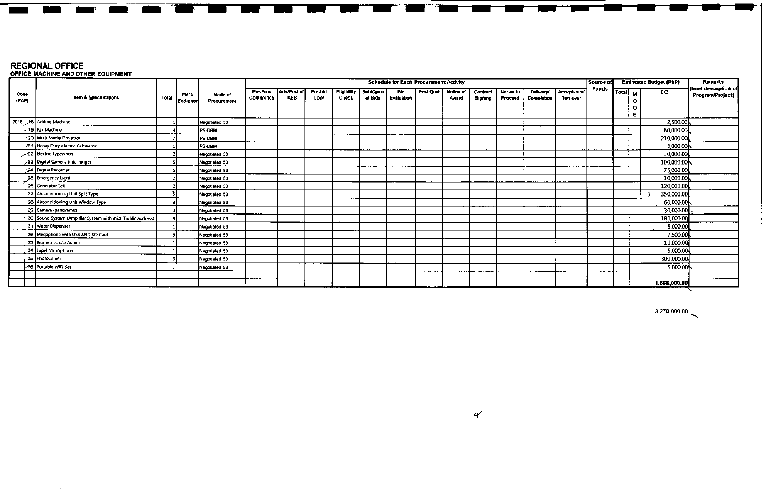**REGIONAL OFFICE**<br>Office Machine and Other Equipment

|               |                                                              |       |                        |               |                        | <b>Schedule for Each Procurement Activity</b> |                 |                      |                            |                   |           |                    |                     |                             |                                |                         | Source of    |                    |                         | <b>Estimated Budget (PhP)</b> | Remarks                                   |
|---------------|--------------------------------------------------------------|-------|------------------------|---------------|------------------------|-----------------------------------------------|-----------------|----------------------|----------------------------|-------------------|-----------|--------------------|---------------------|-----------------------------|--------------------------------|-------------------------|--------------|--------------------|-------------------------|-------------------------------|-------------------------------------------|
| Code<br>(PAP) | Item & Spacifications                                        | Total | <b>PMO</b><br>End-User | Mode of       | Pre-Proc<br>Conference | Ads/Post o<br><b>IAEB</b>                     | Pre-bid<br>Conf | Eligibility<br>Check | <b>Sub/Open</b><br>of Bids | Bid<br>Evaluation | Post Qual | Notice of<br>Award | Contract<br>Signing | Notice to<br><b>Proceed</b> | <b>Delivery!</b><br>Completion | Acceptance/<br>Turnover | <b>Funds</b> | Total <sub>M</sub> |                         | <b>CO</b>                     | (brief description of<br>Program/Project) |
|               |                                                              |       |                        | Procurement   |                        |                                               |                 |                      |                            |                   |           |                    |                     |                             |                                |                         |              |                    | $\circ$<br>$\circ$<br>E |                               |                                           |
|               | 2015   16 Adding Machine                                     |       |                        | Negotiated 53 |                        |                                               |                 |                      |                            |                   |           |                    |                     |                             |                                |                         |              |                    |                         | 2,500.00                      |                                           |
|               | 19 Fax Machine                                               |       |                        | <b>PS-DBM</b> |                        |                                               |                 |                      |                            |                   |           |                    |                     |                             |                                |                         |              |                    |                         | 60,000.00                     |                                           |
|               | -20 Multi Media Projector                                    |       |                        | <b>PS-DBM</b> |                        |                                               |                 |                      |                            |                   |           |                    |                     |                             |                                |                         |              |                    |                         | 210,000.00                    |                                           |
|               | -21 Heavy Duty electric Calculator                           |       |                        | <b>PS-DBM</b> |                        |                                               |                 |                      |                            |                   |           |                    |                     |                             |                                |                         |              |                    |                         | 3,000.00                      |                                           |
|               | -22 Electric Typewriter                                      |       |                        | Negotiated 53 |                        |                                               |                 |                      |                            |                   |           |                    |                     |                             |                                |                         |              |                    |                         | 30,000.00                     |                                           |
|               | 23 Digital Camera (mid-range)                                |       |                        | Negotiated 53 |                        |                                               |                 |                      |                            |                   |           |                    |                     |                             |                                |                         |              |                    |                         | 100,000.00                    |                                           |
|               | Digital Recorder                                             |       |                        | Negotiated 53 |                        |                                               |                 |                      |                            |                   |           |                    |                     |                             |                                |                         |              |                    |                         | 75,000.00                     |                                           |
|               | 36 Emergency Light                                           |       |                        | Negotiated 53 |                        |                                               |                 |                      |                            |                   |           |                    |                     |                             |                                |                         |              |                    |                         | 10,000.00                     |                                           |
|               | 26 Generator Set                                             |       |                        | Negotiated 53 |                        |                                               |                 |                      |                            |                   |           |                    |                     |                             |                                |                         |              |                    |                         | 120,000.00                    |                                           |
|               | 27 Airconditioning Unit Split Type                           |       |                        | Negotiated 53 |                        |                                               |                 |                      |                            |                   |           |                    |                     |                             |                                |                         |              |                    |                         | 350,000.00                    |                                           |
|               | 28 Airconditioning Unit Window Type                          |       |                        | Negotiated 53 |                        |                                               |                 |                      |                            |                   |           |                    |                     |                             |                                |                         |              |                    |                         | 60,000.00                     |                                           |
|               | 29 Camera (panoramic)                                        |       |                        | Negotiated 53 |                        |                                               |                 |                      |                            |                   |           |                    |                     |                             |                                |                         |              |                    |                         | 30,000.00                     |                                           |
|               | 30 Sound System (Amplifier System with mic) (Public address) |       |                        | Negotiated 53 |                        |                                               |                 |                      |                            |                   |           |                    |                     |                             |                                |                         |              |                    |                         | 180,000.00                    |                                           |
|               | 31 Water Dispenser                                           |       |                        | Negotiated 53 |                        |                                               |                 |                      |                            |                   |           |                    |                     |                             |                                |                         |              |                    |                         | 8,000.00                      |                                           |
|               | 32 Megaphone with USB AND SD Card                            |       |                        | Negotialed 53 |                        |                                               |                 |                      |                            |                   |           |                    |                     |                             |                                |                         |              |                    |                         | 7,500.00                      |                                           |
|               | 33 Biometrics c/o Admin                                      |       |                        | Negotiated 53 |                        |                                               |                 |                      |                            |                   |           |                    |                     |                             |                                |                         |              |                    |                         | 10,000.00                     |                                           |
|               | 34 Lapel Microphone                                          |       |                        | Negotiated 53 |                        |                                               |                 |                      |                            |                   |           |                    |                     |                             |                                |                         |              |                    |                         | 5,000.00                      |                                           |
|               | 35 Photocopier                                               |       |                        | Negotiated 53 |                        |                                               |                 |                      |                            |                   |           |                    |                     |                             |                                |                         |              |                    |                         | 300,000.00                    |                                           |
|               | <b>. 36 Portable WiFi Set</b>                                |       |                        | Negotiated 53 |                        |                                               |                 |                      |                            |                   |           |                    |                     |                             |                                |                         |              |                    |                         | 5,000.00                      |                                           |
|               |                                                              |       |                        |               |                        |                                               |                 |                      |                            |                   |           |                    |                     |                             |                                |                         |              |                    |                         |                               |                                           |
|               |                                                              |       |                        |               |                        |                                               |                 |                      |                            |                   |           |                    |                     |                             |                                |                         |              |                    |                         | 1,566,000.00                  |                                           |
|               |                                                              |       |                        |               |                        |                                               |                 |                      |                            |                   |           |                    |                     |                             |                                |                         |              |                    |                         |                               |                                           |

 $3,270,000.00$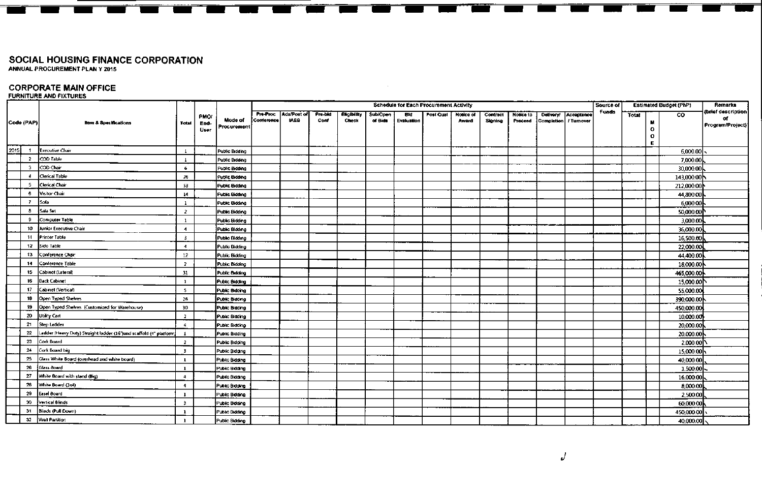#### **SOCIAL HOUSING FINANCE CORPORATION ANNUAL PROCUREMENT PLAN Y 2015**

#### **CORPORATE MAIN OFFICE**

#### **FURNITURE AND FIXTURES**

|                                 |                                                                     |                          |             |                       |            |             |         |                    |                 |            | <b>Schedule for Each Procurement Activity</b> |                  |          |                  |                         |            | Source of |       |                    | <b>Estimated Budget (PhP)</b> | <b>Remarks</b>           |
|---------------------------------|---------------------------------------------------------------------|--------------------------|-------------|-----------------------|------------|-------------|---------|--------------------|-----------------|------------|-----------------------------------------------|------------------|----------|------------------|-------------------------|------------|-----------|-------|--------------------|-------------------------------|--------------------------|
|                                 |                                                                     |                          | <b>PMO/</b> |                       | Pre-Proc   | Ads/Post of | Pre-bid | <b>Eligibility</b> | <b>Sub/Open</b> | Bld        | Post Qual                                     | <b>Notice of</b> | Contract | <b>Notice to</b> | Delivery!               | Acceptance | Funds     | Total |                    | CO.                           | (brief description<br>οſ |
| Code (PAP)                      | <b>Item &amp; Specifications</b>                                    | Total                    | End-        | Mode of               | Conference | <b>IAEB</b> | Conf    | Check              | of Bids         | Evaluation |                                               | Award            | Signing  | Proceed          | Completion   / Turnover |            |           |       | M.                 |                               | Program/Project}         |
|                                 |                                                                     |                          | User        | Procurement           |            |             |         |                    |                 |            |                                               |                  |          |                  |                         |            |           |       | $\circ$            |                               |                          |
|                                 |                                                                     |                          |             |                       |            |             |         |                    |                 |            |                                               |                  |          |                  |                         |            |           |       | $\mathbf{o}$<br>Е. |                               |                          |
| 2015<br>$^{\circ}$              | <b>Executive Chair</b>                                              | $\mathbf{1}$             |             | Public Bidding        |            |             |         |                    |                 |            |                                               |                  |          |                  |                         |            |           |       |                    | 6,000.00                      |                          |
| $\overline{2}$                  | COD Table                                                           | -1                       |             | Public Bidding        |            |             |         |                    |                 |            |                                               |                  |          |                  |                         |            |           |       |                    | 7,000.00                      |                          |
| 3 <sup>1</sup>                  | COD Chair                                                           | 6                        |             | Public Bidding        |            |             |         |                    |                 |            |                                               |                  |          |                  |                         |            |           |       |                    | 30,000.00                     |                          |
| $\overline{4}$                  | Clerical Table                                                      | 26                       |             | Public Bidding        |            |             |         |                    |                 |            |                                               |                  |          |                  |                         |            |           |       |                    | 143,000.00                    |                          |
| $5^{\circ}$                     | Clerical Chair                                                      | 53                       |             | Public Bidding        |            |             |         |                    |                 |            |                                               |                  |          |                  |                         |            |           |       |                    | 212,000.00                    |                          |
| 6                               | Visitor Chair                                                       | 14                       |             | Public Bidding        |            |             |         |                    |                 |            |                                               |                  |          |                  |                         |            |           |       |                    | 44,800.00                     |                          |
| $\overline{\mathbf{z}}$<br>Sofa |                                                                     | -1                       |             | Public Bidding        |            |             |         |                    |                 |            |                                               |                  |          |                  |                         |            |           |       |                    | 6,000.00                      |                          |
| 8                               | Sala Set                                                            | $\mathbf{z}$             |             | Public Bidding        |            |             |         |                    |                 |            |                                               |                  |          |                  |                         |            |           |       |                    | 50,000.00                     |                          |
| 9                               | Computer Table                                                      | -1.                      |             | Public Bidding        |            |             |         |                    |                 |            |                                               |                  |          |                  |                         |            |           |       |                    | 3,000.00                      |                          |
| 10                              | Junior Executive Chair                                              | $\overline{4}$           |             | Public Bidding        |            |             |         |                    |                 |            |                                               |                  |          |                  |                         |            |           |       |                    | 36,000.00                     |                          |
| 11                              | Printer Table                                                       | -3                       |             | Public Bidding        |            |             |         |                    |                 |            |                                               |                  |          |                  |                         |            |           |       |                    | 16,500.00                     |                          |
| 12                              | Side Table                                                          | $\blacktriangleleft$     |             | Public Bidding        |            |             |         |                    |                 |            |                                               |                  |          |                  |                         |            |           |       |                    | 22,000.00                     |                          |
| 13                              | Conference Chair                                                    | 12                       |             | Public Bidding        |            |             |         |                    |                 |            |                                               |                  |          |                  |                         |            |           |       |                    | 44,400.00                     |                          |
| 14                              | Conference Table                                                    | $\overline{2}$           |             | Public Bidding        |            |             |         |                    |                 |            |                                               |                  |          |                  |                         |            |           |       |                    | 18,000.00                     |                          |
| 15                              | Cabinet (Lateral)                                                   | 31                       |             | <b>Public Bidding</b> |            |             |         |                    |                 |            |                                               |                  |          |                  |                         |            |           |       |                    | 465,000.00                    |                          |
| 16                              | Back Cabinet                                                        | $\mathbf{1}$             |             | Public Bidding        |            |             |         |                    |                 |            |                                               |                  |          |                  |                         |            |           |       |                    | 15,000.00                     |                          |
| 17                              | Cabinet (Vertical)                                                  | $\mathsf{S}$             |             | Public Bidding        |            |             |         |                    |                 |            |                                               |                  |          |                  |                         |            |           |       |                    | 55,000.00                     |                          |
| 18                              | Open Typed Shelves                                                  | 26                       |             | Public Bloding        |            |             |         |                    |                 |            |                                               |                  |          |                  |                         |            |           |       |                    | 390,000.00                    |                          |
| 19                              | Open Typed Shelves (Customized for Warehouse)                       | 30                       |             | Public Bidding        |            |             |         |                    |                 |            |                                               |                  |          |                  |                         |            |           |       |                    | 450,000.00                    |                          |
| 20                              | Utility Cart                                                        | $\overline{2}$           |             | Public Bidding        |            |             |         |                    |                 |            |                                               |                  |          |                  |                         |            |           |       |                    | 10,000.00                     |                          |
| 21                              | Step Ladder                                                         | $\overline{4}$           |             | Public Bidding        |            |             |         |                    |                 |            |                                               |                  |          |                  |                         |            |           |       |                    | 20,000.00                     |                          |
| 22                              | Ladder (Heavy Duty) Straight ladder (16")and scaffold (4" platform) |                          |             | Public Bidding        |            |             |         |                    |                 |            |                                               |                  |          |                  |                         |            |           |       |                    | 20,000.00                     |                          |
| 23                              | Cork Board                                                          | $\overline{2}$           |             | Public Bidding        |            |             |         |                    |                 |            |                                               |                  |          |                  |                         |            |           |       |                    | 2,000.00                      |                          |
| 24                              | Cork Board big                                                      | $\overline{\phantom{a}}$ |             | Public Sidding        |            |             |         |                    |                 |            |                                               |                  |          |                  |                         |            |           |       |                    | 15,000.00                     |                          |
| 25                              | Glass White Board (overhead and white board)                        | 1                        |             | Public Bidding        |            |             |         |                    |                 |            |                                               |                  |          |                  |                         |            |           |       |                    | 40,000.00                     |                          |
| 26                              | Glass Board                                                         | $\mathbf{1}$             |             | Public Bidding        |            |             |         |                    |                 |            |                                               |                  |          |                  |                         |            |           |       |                    | 1,500.00                      |                          |
| 27                              | White Board with stand (Big)                                        | $\blacktriangleleft$     |             | Public Bidding        |            |             |         |                    |                 |            |                                               |                  |          |                  |                         |            |           |       |                    | 16,000.00                     |                          |
| 26                              | White Board (3x4)                                                   | $\ddot{ }$               |             | Public Bidding        |            |             |         |                    |                 |            |                                               |                  |          |                  |                         |            |           |       |                    | 8,000.00                      |                          |
| 29                              | Easel Board                                                         | $\mathbf{1}$             |             | Public Bidding        |            |             |         |                    |                 |            |                                               |                  |          |                  |                         |            |           |       |                    | 2,500.00                      |                          |
| 30                              | Vertical Blinds                                                     | $\mathbf{3}$             |             | Public Bidding        |            |             |         |                    |                 |            |                                               |                  |          |                  |                         |            |           |       |                    | 60,000.00                     |                          |
| 31                              | Blinds (Pull Down)                                                  | $\mathbf{1}$             |             | Public Bidding        |            |             |         |                    |                 |            |                                               |                  |          |                  |                         |            |           |       |                    | 450,000.00                    |                          |
| 32                              | Wall Partition                                                      | $\mathbf{1}$             |             | Public Bidding        |            |             |         |                    |                 |            |                                               |                  |          |                  |                         |            |           |       |                    | 40,000.00                     |                          |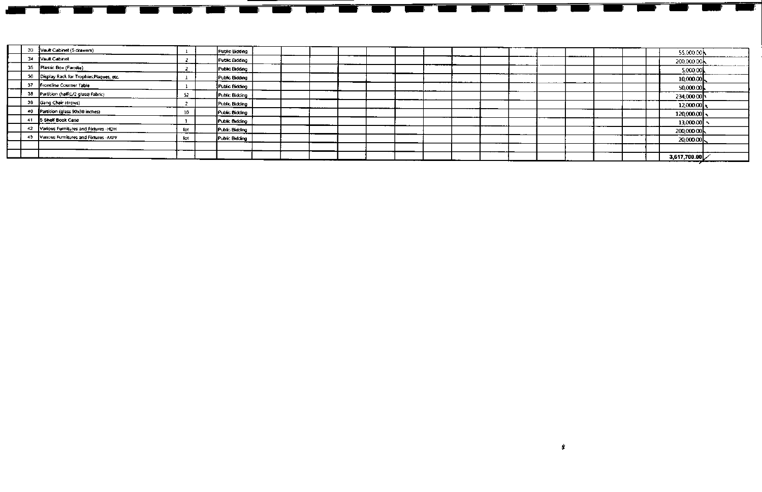| 33         | Vault Cabinet (5 drawers)                   |     |                |  |  |  |  |  |  |  |              |  |
|------------|---------------------------------------------|-----|----------------|--|--|--|--|--|--|--|--------------|--|
|            |                                             |     | Public Bidding |  |  |  |  |  |  |  | 55,000.00N   |  |
| 34         | Vault Cabinet                               |     | Public Bidding |  |  |  |  |  |  |  | 200,000.00   |  |
|            | 35 Plastic Box (Familia)                    |     | Public Bidding |  |  |  |  |  |  |  | 5,000.00     |  |
|            | 36 Display Rack for Trophies, Plaques, etc. |     | Public Bidding |  |  |  |  |  |  |  | 10,000.00    |  |
| 37<br>---- | Frontline Counter Table                     |     | Public Bidding |  |  |  |  |  |  |  | 50,000.00    |  |
| 38         | Partition (half(1/2 glass) Fabric)          | 52  | Public Bidding |  |  |  |  |  |  |  | 234,000.00   |  |
| 39         | Gang Chair (4rows)                          |     | Public Bidding |  |  |  |  |  |  |  | 12,000.00    |  |
| 40         | Partition (glass 90x30 inches)              | 10  | Public Bidding |  |  |  |  |  |  |  | 120,000.00   |  |
| 41         | 5 Shelf Book Case                           |     | Public Bidding |  |  |  |  |  |  |  | 13,000.00    |  |
| 42         | Various Furnitures and Fixtures - HDH       | lot | Public Bidding |  |  |  |  |  |  |  | 200,000.00   |  |
| 43         | Various Furnitures and Fixtures - AKPF      | kat | Public Bidding |  |  |  |  |  |  |  | 20,000.00    |  |
|            |                                             |     |                |  |  |  |  |  |  |  |              |  |
|            |                                             |     |                |  |  |  |  |  |  |  | 3,617,700.00 |  |

and the second second second second second second second second second second second second second second second

**Martin La** 

and the second second second second second second second second second second second second second second second second second second second second second second second second second second second second second second seco

in a component and the component of the component of the component of the component of the component of the co

 $\overline{1}$ 

**Registration**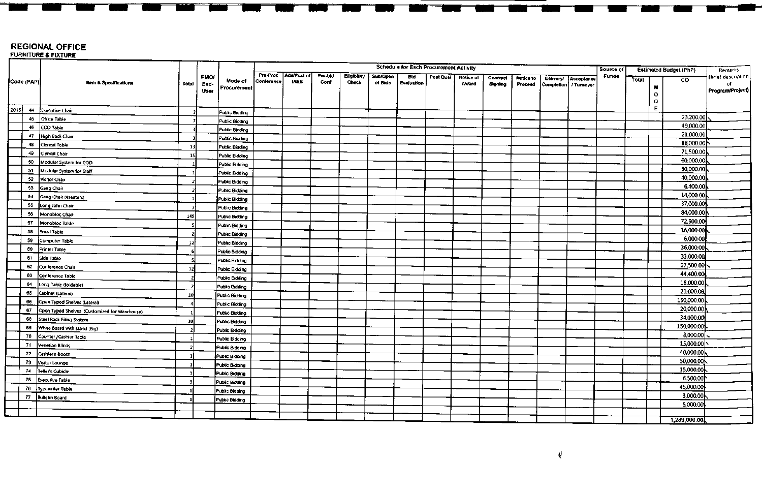#### **REGIONAL OFFICE**

FURNITURE & FIXTURE

|      |            |                                               |       |             |                        |            |             |         |                    |                 | <b>Schedule for Each Procurement Activity</b> |           |           |          |           |                         | Source of    |       |   | <b>Estimated Budget (PhP)</b> | <b>Remarks</b>      |
|------|------------|-----------------------------------------------|-------|-------------|------------------------|------------|-------------|---------|--------------------|-----------------|-----------------------------------------------|-----------|-----------|----------|-----------|-------------------------|--------------|-------|---|-------------------------------|---------------------|
|      |            |                                               |       | <b>PMO/</b> |                        | Pre-Proc   | Ads/Post of | Pro-bid | <b>Eligibility</b> | <b>Sub/Open</b> | Bld                                           | Post Qual | Notice of | Contract | Notice to | Delivery/ Acceptance    | <b>Funds</b> | Total |   | $\overline{50}$               | (brief description- |
|      | Code (PAP) | <b>Item &amp; Specifications</b>              | Total | End-        | Mode of<br>Procurement | Conference | <b>IAEB</b> | Conf    | Check              | of Bids         | Evaluation                                    |           | Award     | Signing  | Proceed   | Completion   / Turnover |              |       | м |                               | of                  |
|      |            |                                               |       | User        |                        |            |             |         |                    |                 |                                               |           |           |          |           |                         |              |       | ۰ |                               | Program/Project)    |
|      |            |                                               |       |             |                        |            |             |         |                    |                 |                                               |           |           |          |           |                         |              |       | ۰ |                               |                     |
| 2015 | 44         | Executive Chair                               |       |             | Public Bidding         |            |             |         |                    |                 |                                               |           |           |          |           |                         |              |       | E |                               |                     |
|      | 45         | Office Table                                  |       |             | Public Bidding         |            |             |         |                    |                 |                                               |           |           |          |           |                         |              |       |   | 23,200.00                     |                     |
|      | 46         | COD Table                                     |       |             | Public Bidding         |            |             |         |                    |                 |                                               |           |           |          |           |                         |              |       |   | 49,000.00                     |                     |
|      | 47         | High Back Chair                               |       |             | Public Bidding         |            |             |         |                    |                 |                                               |           |           |          |           |                         |              |       |   | 21,000.00                     |                     |
|      | 48         | Clerical Table                                | 13    |             | Public Bidding         |            |             |         |                    |                 |                                               |           |           |          |           |                         |              |       |   | 18,000.00                     |                     |
|      | 49         | Clerical Chair                                | 15    |             | Public Bidding         |            |             |         |                    |                 |                                               |           |           |          |           |                         |              |       |   | 71,500.00                     |                     |
|      | 50         | Modular System for COD                        |       |             | Public Bidding         |            |             |         |                    |                 |                                               |           |           |          |           |                         |              |       |   | 60,000.00                     |                     |
|      | 51         | Modular System for Staff                      |       |             | Public Bidding         |            |             |         |                    |                 |                                               |           |           |          |           |                         |              |       |   | 50,000.00                     |                     |
|      | 52         | Visitor Chair                                 |       |             | Public Bidding         |            |             |         |                    |                 |                                               |           |           |          |           |                         |              |       |   | 40,000.00                     |                     |
|      | 53         | Gang Chair                                    |       |             | Public Bidding         |            |             |         |                    |                 |                                               |           |           |          |           |                         |              |       |   | 6,400.00                      |                     |
|      | 54         | Gang Chair (4seaters)                         |       |             | <b>Public Bidding</b>  |            |             |         |                    |                 |                                               |           |           |          |           |                         |              |       |   | 14,000.00                     |                     |
|      | 55         | Long John Chair                               |       |             | Public Bidding         |            |             |         |                    |                 |                                               |           |           |          |           |                         |              |       |   | 37,000.00                     |                     |
|      | 56         | Monobloc Chair                                | 145   |             | Public Bidding         |            |             |         |                    |                 |                                               |           |           |          |           |                         |              |       |   | 84,000.00                     |                     |
|      | 57         | Monobloc Table                                |       |             | Public Bidding         |            |             |         |                    |                 |                                               |           |           |          |           |                         |              |       |   | 72,500.00                     |                     |
|      | 58         | Small Table                                   |       |             | Public Bidding         |            |             |         |                    |                 |                                               |           |           |          |           |                         |              |       |   | 16,000.00                     |                     |
|      | 59         | Computer Table                                | 12    |             | Public Bidding         |            |             |         |                    |                 |                                               |           |           |          |           |                         |              |       |   | 6,000.00                      |                     |
|      | 60         | Printer Table                                 |       |             | Public Bidding         |            |             |         |                    |                 |                                               |           |           |          |           |                         |              |       |   | 36,000,00                     |                     |
|      | 61         | Side Table                                    |       |             | Public Bidding         |            |             |         |                    |                 |                                               |           |           |          |           |                         |              |       |   | 33,000.00                     |                     |
|      | 62         | Conference Chair                              | 12    |             | <b>Public Bidding</b>  |            |             |         |                    |                 |                                               |           |           |          |           |                         |              |       |   | 27,500.00                     |                     |
|      | 63         | Conference Table                              |       |             | Public Bidding         |            |             |         |                    |                 |                                               |           |           |          |           |                         |              |       |   | 44,400.00                     |                     |
|      | 64         | Long Table (foldable)                         |       |             | Public Brdding         |            |             |         |                    |                 |                                               |           |           |          |           |                         |              |       |   | 18,000.00                     |                     |
|      | 65         | Cabinet (Lateral)                             | 10    |             | Public Bidding         |            |             |         |                    |                 |                                               |           |           |          |           |                         |              |       |   | 20,000.00                     |                     |
|      |            | 66 Open Typed Shelves (Lateral)               |       |             | <b>Public Bidding</b>  |            |             |         |                    |                 |                                               |           |           |          |           |                         |              |       |   | 150,000.00                    |                     |
|      | 67         | Open Typed Shelves (Customized for Warehouse) |       |             | Public Bidding         |            |             |         |                    |                 |                                               |           |           |          |           |                         |              |       |   | 20,000.00                     |                     |
|      | 68         | Steel Rack Filing System                      | 10    |             | Public Bidding         |            |             |         |                    |                 |                                               |           |           |          |           |                         |              |       |   | 34,000.00                     |                     |
|      | 69         | White Board with stand (Big)                  |       |             | Public Bidding         |            |             |         |                    |                 |                                               |           |           |          |           |                         |              |       |   | 150,000.00                    |                     |
|      | 70         | Counter /Cashier Table                        |       |             | Public Bidding         |            |             |         |                    |                 |                                               |           |           |          |           |                         |              |       |   | 8,000.00                      |                     |
|      | 71         | Venetian Blinds                               |       |             | Public Bidding         |            |             |         |                    |                 |                                               |           |           |          |           |                         |              |       |   | 15,000.00                     |                     |
|      | 72         | Cashier's Booth                               |       |             | Public Bidding         |            |             |         |                    |                 |                                               |           |           |          |           |                         |              |       |   | 40,000.00                     |                     |
|      | 73         | Visitor Lounge                                |       |             | Public Bidding         |            |             |         |                    |                 |                                               |           |           |          |           |                         |              |       |   | 50,000.00                     |                     |
|      | 74         | Teller's Cubicle                              |       |             | Public Bidding         |            |             |         |                    |                 |                                               |           |           |          |           |                         |              |       |   | 15,000.00                     |                     |
|      | 75         | <b>Executive Table</b>                        |       |             | Public Bidding         |            |             |         |                    |                 |                                               |           |           |          |           |                         |              |       |   | 6,500.00                      |                     |
|      | 76         | Typewriter Table                              |       |             | Public Bidding         |            |             |         |                    |                 |                                               |           |           |          |           |                         |              |       |   | 45,000.00                     |                     |
|      |            | 77 Bulletin Board                             |       |             | <b>Public Bidding</b>  |            |             |         |                    |                 |                                               |           |           |          |           |                         |              |       |   | 3,000.00                      |                     |
|      |            |                                               |       |             |                        |            |             |         |                    |                 |                                               |           |           |          |           |                         |              |       |   | 5,000.00                      |                     |
|      |            |                                               |       |             |                        |            |             |         |                    |                 |                                               |           |           |          |           |                         |              |       |   |                               |                     |
|      |            |                                               |       |             |                        |            |             |         |                    |                 |                                               |           |           |          |           |                         |              |       |   | 1,289,000.00                  |                     |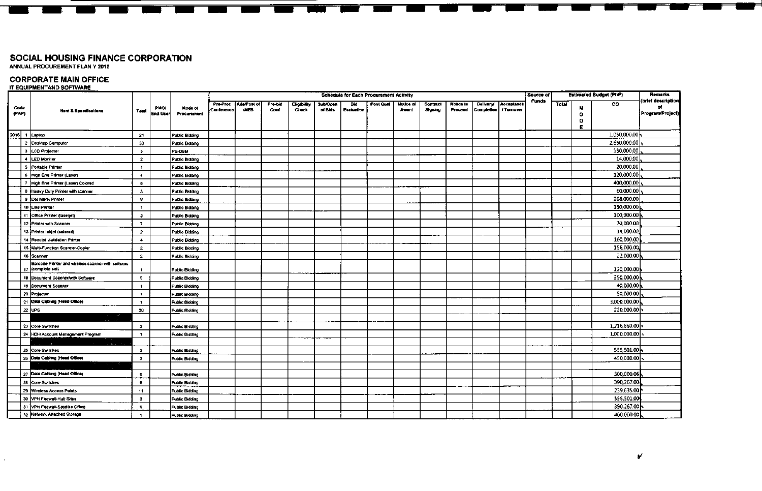ANNUAL PROCUREMENT PLAN Y 2015

#### **CORPORATE MAIN OFFICE**

#### **IT EQUIPMENTAND SOFTWARE**

|               |          |                                                                         |                          |                         |                        |                        |                            |                 |                             |                            | <b>Schedule for Each Procurement Activity</b> |           |                    |                     |                      |                                      |                   | Source of    |              |                   | <b>Estimated Budget (PhP)</b> | <b>Remarks</b>                                |
|---------------|----------|-------------------------------------------------------------------------|--------------------------|-------------------------|------------------------|------------------------|----------------------------|-----------------|-----------------------------|----------------------------|-----------------------------------------------|-----------|--------------------|---------------------|----------------------|--------------------------------------|-------------------|--------------|--------------|-------------------|-------------------------------|-----------------------------------------------|
| Code<br>(PAP) |          | <b>ftem &amp; Specifications</b>                                        | Total                    | <b>PMO!</b><br>End-User | Mode of<br>Procurement | Pre-Proc<br>Conference | Ade/Post of<br><b>IAEB</b> | Pre-bid<br>Conf | <b>Eligibility</b><br>Check | <b>SubrOpen</b><br>of Bids | Bid<br><b>Evaluation</b>                      | Post Qual | Notice of<br>Award | Contract<br>Signing | Notice to<br>Proceed | Delivery/<br>Completion   / Turnover | <b>Acceptance</b> | <b>Funds</b> | <b>Total</b> | м<br>$\circ$<br>٥ | CO.                           | (brief description)<br>of<br>Program/Project) |
|               |          |                                                                         |                          |                         |                        |                        |                            |                 |                             |                            |                                               |           |                    |                     |                      |                                      |                   |              |              | Е                 |                               |                                               |
|               |          | 2015 1 Laptop                                                           | 21                       |                         | <b>Public Bidding</b>  |                        |                            |                 |                             |                            |                                               |           |                    |                     |                      |                                      |                   |              |              |                   | 1,050,000.00                  |                                               |
|               |          | 2 Desktop Computer                                                      | 53                       |                         | Public Bidding         |                        |                            |                 |                             |                            |                                               |           |                    |                     |                      |                                      |                   |              |              |                   | 2.650.000.00                  |                                               |
|               |          | 3   LCD Projector                                                       | $\overline{\mathbf{3}}$  |                         | PS-DBM                 |                        |                            |                 |                             |                            |                                               |           |                    |                     |                      |                                      |                   |              |              |                   | 150,000.00                    |                                               |
|               |          | 4 LED Monitor                                                           | $\overline{c}$           |                         | Public Bidding         |                        |                            |                 |                             |                            |                                               |           |                    |                     |                      |                                      |                   |              |              |                   | 14,000.00                     |                                               |
|               |          | 5 Portable Printer                                                      | $\mathbf{1}$             |                         | Public Bidding         |                        |                            |                 |                             |                            |                                               |           |                    |                     |                      |                                      |                   |              |              |                   | 20,000.00                     |                                               |
|               |          | 6 High End Printer (Laser)                                              | $\overline{\phantom{a}}$ |                         | Public Bidding         |                        |                            |                 |                             |                            |                                               |           |                    |                     |                      |                                      |                   |              |              |                   | 120,000.00                    |                                               |
|               |          | 7 High End Printer (Laser) Colored                                      | 8                        |                         | <b>Public Bidding</b>  |                        |                            |                 |                             |                            |                                               |           |                    |                     |                      |                                      |                   |              |              |                   | 400,000.00                    |                                               |
|               |          | 8 Heavy Duty Printer with scanner                                       | $\overline{\mathbf{3}}$  |                         | Public Bidding         |                        |                            |                 |                             |                            |                                               |           |                    |                     |                      |                                      |                   |              |              |                   | 60,000.00                     |                                               |
|               |          | 9 Dol Marix Printer                                                     | $\bf{8}$                 |                         | <b>Public Bidding</b>  |                        |                            |                 |                             |                            |                                               |           |                    |                     |                      |                                      |                   |              |              |                   | 208,000.00                    |                                               |
|               |          | 10 Line Printer                                                         | $\mathbf{1}$             |                         | Public Bidding         |                        |                            |                 |                             |                            |                                               |           |                    |                     |                      |                                      |                   |              |              |                   | 150,000.00                    |                                               |
|               |          | 11 Office Printer (laserjet)                                            | $\overline{a}$           |                         | Public Bidding         |                        |                            |                 |                             |                            |                                               |           |                    |                     |                      |                                      |                   |              |              |                   | 100,000,00                    |                                               |
|               |          | 12 Printer with Scanner                                                 | $\overline{7}$           |                         | Public Bidding         |                        |                            |                 |                             |                            |                                               |           |                    |                     |                      |                                      |                   |              |              |                   | 70,000.00                     |                                               |
|               |          | 13 Printer Inkjel (colored)                                             | $\overline{z}$           |                         | Public Bidding         |                        |                            |                 |                             |                            |                                               |           |                    |                     |                      |                                      |                   |              |              |                   | 14,000.00                     |                                               |
|               |          | 14 Receipt Validation Printer                                           | $\blacktriangleleft$     |                         | Public Bidding         |                        |                            |                 |                             |                            |                                               |           |                    |                     |                      |                                      |                   |              |              |                   | 160,000.00                    |                                               |
|               |          | 15 Multi-Function Scanner-Copier                                        | $\mathbf{z}$             |                         | Public Bidding         |                        |                            |                 |                             |                            |                                               |           |                    |                     |                      |                                      |                   |              |              |                   | 156,000.00                    |                                               |
|               |          | 16 Scanner                                                              | $\overline{2}$           |                         | Public Bidding         |                        |                            |                 |                             |                            |                                               |           |                    |                     |                      |                                      |                   |              |              |                   | 22,000.00                     |                                               |
|               |          | Barcode Printer and wireless scanner with software<br>17 (complete set) |                          |                         | Public Bidding         |                        |                            |                 |                             |                            |                                               |           |                    |                     |                      |                                      |                   |              |              |                   | 120,000.00                    |                                               |
|               |          | 18 Document Scannerwith Software                                        | - 5                      |                         | Public Bidding         |                        |                            |                 |                             |                            |                                               |           |                    |                     |                      |                                      |                   |              |              |                   | 350,000.00                    |                                               |
|               |          | 19 Document Scanner                                                     | п.                       |                         | Public Bidding         |                        |                            |                 |                             |                            |                                               |           |                    |                     |                      |                                      |                   |              |              |                   | 40,000.00                     |                                               |
|               |          | 20 Projector                                                            | $\bullet$                |                         | Public Bidding         |                        |                            |                 |                             |                            |                                               |           |                    |                     |                      |                                      |                   |              |              |                   | 50,000.00                     |                                               |
|               |          | 21 Data Cabling (Head Office)                                           | $\blacksquare$           |                         | Public Bidding         |                        |                            |                 |                             |                            |                                               |           |                    |                     |                      |                                      |                   |              |              |                   | 3,000,000.00                  |                                               |
|               | $22$ ups |                                                                         | 20                       |                         | <b>Public Bidding</b>  |                        |                            |                 |                             |                            |                                               |           |                    |                     |                      |                                      |                   |              |              |                   | 220,000.00                    |                                               |
|               |          | نائي                                                                    |                          |                         |                        |                        |                            |                 |                             |                            |                                               |           |                    |                     |                      |                                      |                   |              |              |                   |                               |                                               |
|               |          | 23 Core Switches                                                        | $\overline{2}$           |                         | Public Bidding         |                        |                            |                 |                             |                            |                                               |           |                    |                     |                      |                                      |                   |              |              |                   | 1,216,860.00                  |                                               |
|               |          | 24 HDH Account Management Program                                       | $\blacksquare$           |                         | Public Bidding         |                        |                            |                 |                             |                            |                                               |           |                    |                     |                      |                                      |                   |              |              |                   | 1,000,000.00                  |                                               |
|               |          | المستعان                                                                |                          |                         |                        |                        |                            |                 |                             |                            |                                               |           |                    |                     |                      |                                      |                   |              |              |                   |                               |                                               |
|               |          | 25 Core Switches                                                        | $\overline{\mathbf{3}}$  |                         | Public Bidding         |                        |                            |                 |                             |                            |                                               |           |                    |                     |                      |                                      |                   |              |              |                   | 555,501.00                    |                                               |
|               |          | 26 Oata Cabling (Head Office)                                           | $\mathbf{3}$             |                         | Public Bidding         |                        |                            |                 |                             |                            |                                               |           |                    |                     |                      |                                      |                   |              |              |                   | 450,000.00                    |                                               |
|               |          |                                                                         |                          |                         |                        |                        |                            |                 |                             |                            |                                               |           |                    |                     |                      |                                      |                   |              |              |                   |                               |                                               |
|               |          | 27 Oata Cabling (Head Office)                                           | 9                        |                         | Public Bidding         |                        |                            |                 |                             |                            |                                               |           |                    |                     |                      |                                      |                   |              |              |                   | 300,000.06                    |                                               |
|               |          | 28 Core Switches                                                        | -9                       |                         | <b>Public Bidding</b>  |                        |                            |                 |                             |                            |                                               |           |                    |                     |                      |                                      |                   |              |              |                   | 390,267.00                    |                                               |
|               |          | 29 Wireless Access Points                                               | 11                       |                         | Public Bidding         |                        |                            |                 |                             |                            |                                               |           |                    |                     |                      |                                      |                   |              |              |                   | 239,635,00                    |                                               |
|               |          | 30 VPN Firewall-Hub Sites                                               | $\mathbf{3}$             |                         | <b>Public Bidding</b>  |                        |                            |                 |                             |                            |                                               |           |                    |                     |                      |                                      |                   |              |              |                   | 555,501.00                    |                                               |
|               |          | 31 VPN Firewall-Satellile Office                                        | 9                        |                         | <b>Public Bidding</b>  |                        |                            |                 |                             |                            |                                               |           |                    |                     |                      |                                      |                   |              |              |                   | 390,267.00h                   |                                               |
|               |          | 32 Network Attached Storage                                             | ٠                        |                         | Public Bidding         |                        |                            |                 |                             |                            |                                               |           |                    |                     |                      |                                      |                   |              |              |                   | 400,000.00                    |                                               |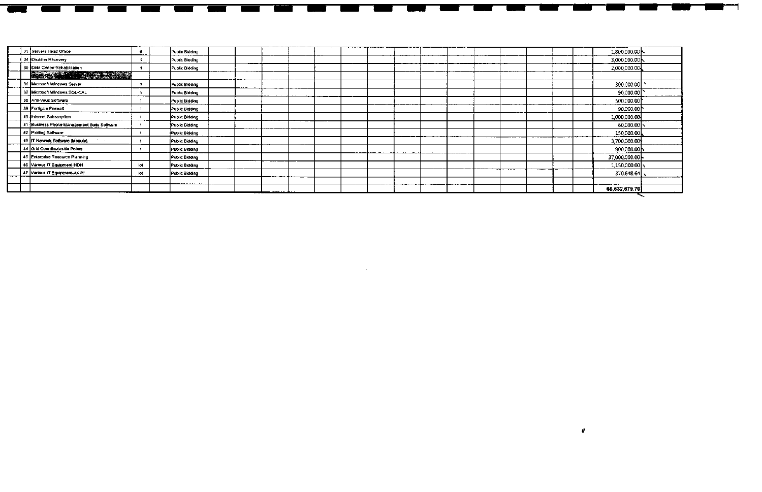| 33 Servers-Head Office                      | 6   | Public Bidding        |  |  |  |  |  |  |  | 1,800,000.00  |
|---------------------------------------------|-----|-----------------------|--|--|--|--|--|--|--|---------------|
| 34   Disaster Recovery                      |     | Public Bidding        |  |  |  |  |  |  |  | 3,000,000.00  |
| 35 Dala Center Rehabilitation               |     | Public Bidding        |  |  |  |  |  |  |  | 2,000,000.00  |
| <u> Starten (d. 1989)</u>                   |     |                       |  |  |  |  |  |  |  |               |
| 36 Microsoft Windows Server                 |     | Public Bidding        |  |  |  |  |  |  |  | 300,000.00    |
| 37 Microsoft Windows SQL-CAL                |     | Public Bidding        |  |  |  |  |  |  |  | 90,000.00     |
| 38 Anti-Virus Software                      |     | Public Bidding        |  |  |  |  |  |  |  | 500,000.00    |
| 39 Fortigate Finewall                       |     | Public Bidding        |  |  |  |  |  |  |  | 90,000,00     |
| 40 Internet Subscription                    |     | Public Bidding        |  |  |  |  |  |  |  | 1,000,000.00  |
| 41 Business Phone Management Suite Software |     | Public Bidding        |  |  |  |  |  |  |  | 60,000.00     |
| 42 Plotting Software                        |     | <b>Public Bidding</b> |  |  |  |  |  |  |  | 150,000.00    |
| 43 IT Network Software (Module).            |     | Public Bidding        |  |  |  |  |  |  |  | 3,700,000.00  |
| 44 Grid Coordinates/lie Points              |     | Public Bidding        |  |  |  |  |  |  |  | 800,000.00    |
| 45 Enterprise Resource Planning             |     | Public Bidding        |  |  |  |  |  |  |  | 37,000,000.00 |
| 46 Various IT Equipment-HDH                 | lot | <b>Public Bidding</b> |  |  |  |  |  |  |  | 1,150,000.00  |
| 47 Various IT Equipment-AKPF                | lot | Public Bidding        |  |  |  |  |  |  |  | 370,648.64    |
|                                             |     |                       |  |  |  |  |  |  |  |               |
|                                             |     |                       |  |  |  |  |  |  |  | 66,632,679.70 |
|                                             |     |                       |  |  |  |  |  |  |  |               |

 $\label{eq:2.1} \mathcal{L}(\mathcal{L}^{\mathcal{L}}_{\mathcal{L}}(\mathcal{L}^{\mathcal{L}}_{\mathcal{L}})) = \mathcal{L}(\mathcal{L}^{\mathcal{L}}_{\mathcal{L}}(\mathcal{L}^{\mathcal{L}}_{\mathcal{L}})) = \mathcal{L}(\mathcal{L}^{\mathcal{L}}_{\mathcal{L}}(\mathcal{L}^{\mathcal{L}}_{\mathcal{L}}))$ 

 $\overline{\phantom{0}}$ 

 $\overline{\phantom{a}}$ 

 $\mathcal{U}$  . The  $\mathcal{U}$ 

<u>sa ang ang ang p</u>

 $\overline{\phantom{a}}$ 

 $\overline{\phantom{0}}$ 

 $\overline{\phantom{a}}$ 

 $\overline{\phantom{0}}$ 

 $\overline{\phantom{a}}$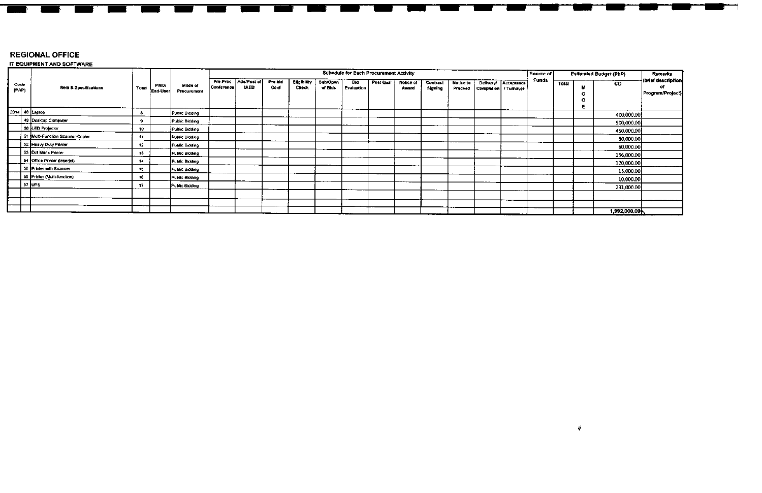#### **REGIONAL OFFICE**

#### IT EQUIPMENT AND SOFTWARE

|               |                                  |       |                         |                        |                          |                            |                 |                             |                     | <b>Schedule for Each Procurement Activity</b> |           |                    |                     |           |                               |                      | Source of |       |   | <b>Estimated Budget (PhP)</b> | Remarks                                      |
|---------------|----------------------------------|-------|-------------------------|------------------------|--------------------------|----------------------------|-----------------|-----------------------------|---------------------|-----------------------------------------------|-----------|--------------------|---------------------|-----------|-------------------------------|----------------------|-----------|-------|---|-------------------------------|----------------------------------------------|
| Code<br>(PAP) | <b>Item &amp; Specifications</b> | Total | <b>PMO/</b><br>End-User | Mode of<br>Procurement | Pre-Proc<br>l Conference | Ads/Post of<br><b>IAEB</b> | Pre-bid<br>Conf | <b>Eligibility</b><br>Check | Sub/Open<br>of Bids | e i d<br>Evaluation                           | Post Qual | Notice of<br>Award | Contract<br>Signing | Notice to | Proceed Completion   Furnover | Delivery/ Acceptance | Funds     | Total | ۰ | $\overline{c}$                | (brief description<br>σf<br>Program/Project) |
|               | 2014 48 Laptop                   |       |                         | Public Bidding         |                          |                            |                 |                             |                     |                                               |           |                    |                     |           |                               |                      |           |       |   | 400,000.00                    |                                              |
|               | 49 Desktop Computer              |       |                         | Public Bidding         |                          |                            |                 |                             |                     |                                               |           |                    |                     |           |                               |                      |           |       |   | 500,000.00                    |                                              |
|               | 50 LED Projector                 | 10    |                         | Public Bidding         |                          |                            |                 |                             |                     |                                               |           |                    |                     |           |                               |                      |           |       |   | 450,000.00                    |                                              |
|               | 51 Multi-Function Scanner-Copier | 11    |                         | Public Bidding         |                          |                            |                 |                             |                     |                                               |           |                    |                     |           |                               |                      |           |       |   | 50,000.00                     |                                              |
|               | 52 Heavy Duty Printer            | 12    |                         | Public Bidding         |                          |                            |                 |                             |                     |                                               |           |                    |                     |           |                               |                      |           |       |   | 60,000.00                     |                                              |
|               | 53 Dot Marix Printer             | 13    |                         | <b>Public Bidding</b>  |                          |                            |                 |                             |                     |                                               |           |                    |                     |           |                               |                      |           |       |   | 156,000.00                    |                                              |
|               | 54 Office Printer (laserjet)     | 14    |                         | Public Bidding         |                          |                            |                 |                             |                     |                                               |           |                    |                     |           |                               |                      |           |       |   | 120,000.00                    |                                              |
|               | 55 Printer with Scanner          | 15    |                         | Public Bidding         |                          |                            |                 |                             |                     |                                               |           |                    |                     |           |                               |                      |           |       |   | 15,000.00                     |                                              |
|               | 56 Printer (Multi-function)      | 16    |                         | Public Bidding         |                          |                            |                 |                             |                     |                                               |           |                    |                     |           |                               |                      |           |       |   | 10,000.00                     |                                              |
|               | 57 JUPS                          | 17    |                         | Public Bidding         |                          |                            |                 |                             |                     |                                               |           |                    |                     |           |                               |                      |           |       |   | 231,000.00                    |                                              |
|               |                                  |       |                         |                        |                          |                            |                 |                             |                     |                                               |           |                    |                     |           |                               |                      |           |       |   |                               |                                              |
|               |                                  |       |                         |                        |                          |                            |                 |                             |                     |                                               |           |                    |                     |           |                               |                      |           |       |   |                               |                                              |
|               |                                  |       |                         |                        |                          |                            |                 |                             |                     |                                               |           |                    |                     |           |                               |                      |           |       |   | 1,992,000.00                  |                                              |

 $\pmb{\theta}$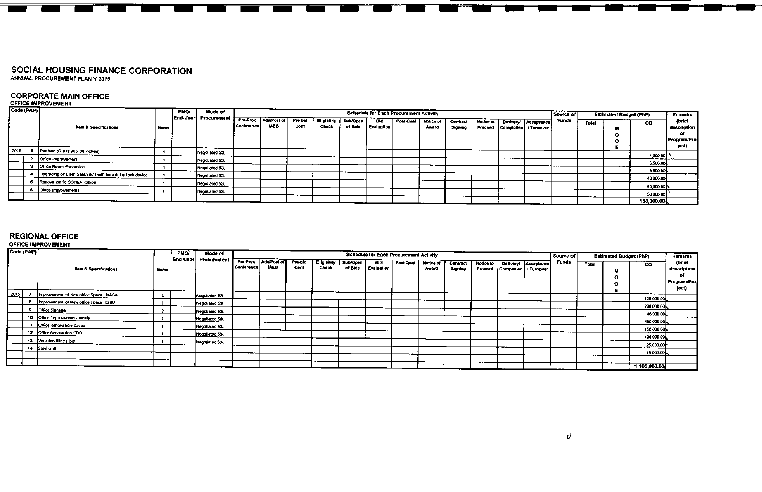#### SOCIAL HOUSING FINANCE CORPORATION ANNUAL PROCUREMENT PLAN Y *2015*

# CORPORATE MAIN OFFICE OFFICE IMPROVEMENT

-

|      | Code (PAP) |                                                          |        | <b>PMO/</b> | Mode of              |                        |                                   |                 |                      |                     | Schedule for Each Procurement Activity |           |                    |                   |                      |            |                                   | Source of |              | <b>Estimated Budget (PhP)</b> |            | <b>Remarks</b>                                |
|------|------------|----------------------------------------------------------|--------|-------------|----------------------|------------------------|-----------------------------------|-----------------|----------------------|---------------------|----------------------------------------|-----------|--------------------|-------------------|----------------------|------------|-----------------------------------|-----------|--------------|-------------------------------|------------|-----------------------------------------------|
|      |            | <b>Rem &amp; Specifications</b>                          | tierns |             | End-User Procurement | Pre-Proc<br>Conference | <b>AdsiPost of</b><br><b>IAEB</b> | Pre-bid<br>Conf | Eligibility<br>Check | SubAOpen<br>of Bids | 8kd<br>Evaluation                      | Post Qual | Notice of<br>Award | Commed<br>Signing | Notice to<br>Proceed | Completion | Delivery/ Acceptance<br>/ Tumover | Funds     | <b>Total</b> | ۰<br>۰                        | <b>co</b>  | (brief<br>description<br>Program/Pro<br>ject) |
| 2015 |            | Partition (Glass 90 x 30 inches)                         |        |             | Megoliated 53.       |                        |                                   |                 |                      |                     |                                        |           |                    |                   |                      |            |                                   |           |              |                               |            |                                               |
|      |            | Office improvement                                       |        |             | Negotiated 53.       |                        |                                   |                 |                      |                     |                                        |           |                    |                   |                      |            |                                   |           |              |                               | 4,000.00   |                                               |
|      |            | Office Room Expansion                                    |        |             | Negotiated 53.       |                        |                                   |                 |                      |                     |                                        |           |                    |                   |                      |            |                                   |           |              |                               | 5,500.00   |                                               |
|      |            | Upgrading of Cash Safe/vault with time delay lock device |        |             | Negotiated 53.       |                        |                                   |                 |                      |                     |                                        |           |                    |                   |                      |            |                                   |           |              |                               | 3,500.00   |                                               |
|      |            | Renovation fo SOHEAI Office                              |        |             |                      |                        |                                   |                 |                      |                     |                                        |           |                    |                   |                      |            |                                   |           |              |                               | 40,000.00  |                                               |
|      |            |                                                          |        |             | Negotiated 53.       |                        |                                   |                 |                      |                     |                                        |           |                    |                   |                      |            |                                   |           |              |                               | 50,000.00N |                                               |
|      |            | Office Improvements                                      |        |             | Negotiated 53.       |                        |                                   |                 |                      |                     |                                        |           |                    |                   |                      |            |                                   |           |              |                               | 50,000.00  |                                               |
|      |            |                                                          |        |             |                      |                        |                                   |                 |                      |                     |                                        |           |                    |                   |                      |            |                                   |           |              |                               | 153,000.00 |                                               |

### REGIONAL OFFICE

#### OFFICE IMPROVEMENT

| Code (PAP) |    |                                        |         | <b>PMO</b>   | Mode of        |            |                                     |                 |                             |                            | <b>Schedule for Each Procurement Activity</b> |           |                    |                            |                      |              |                                    | Source of |       | Estimated Budget (PhP) |              | Remarks                                        |
|------------|----|----------------------------------------|---------|--------------|----------------|------------|-------------------------------------|-----------------|-----------------------------|----------------------------|-----------------------------------------------|-----------|--------------------|----------------------------|----------------------|--------------|------------------------------------|-----------|-------|------------------------|--------------|------------------------------------------------|
|            |    | Item & Specifications                  | l Items | i End-User i | r Procurement  | Conference | Pre-Proc Ade/Post of<br><b>IAEB</b> | Pre-bid<br>Conf | <b>Eligibility</b><br>Check | <b>Sub/Open</b><br>of Bids | Bid<br><b>Evaluation</b>                      | Post Qual | Notice of<br>Award | <b>Contract</b><br>Signing | Notice to<br>Proceed | Completion ! | Delivery/ Acceptance<br>/ Turnover | Funds     | Total | o                      | co           | (brief<br>description<br>Program/Pro,<br>ject) |
| 2015       |    | Improvement of New office Space - NAGA |         |              | Negotiated 53. |            |                                     |                 |                             |                            |                                               |           |                    |                            |                      |              |                                    |           |       |                        | 120,000 00   |                                                |
|            |    | Improvement of New office Space -CEBU  |         |              | Negotiated 53  |            |                                     |                 |                             |                            |                                               |           |                    |                            |                      |              |                                    |           |       |                        | 200,000.00   |                                                |
|            |    | Office Signage                         |         |              | Negotiated 53. |            |                                     |                 |                             |                            |                                               |           |                    |                            |                      |              |                                    |           |       |                        | 45,000.00    |                                                |
|            | 10 | Office Improvement-Isabela             |         |              | Negotiated 53. |            |                                     |                 |                             |                            |                                               |           |                    |                            |                      |              |                                    |           |       |                        |              |                                                |
|            |    | Office Renovation-Davao                |         |              | Negotiated 53. |            |                                     |                 |                             |                            |                                               |           |                    |                            |                      |              |                                    |           |       |                        | 450,000.00   |                                                |
|            | 12 | Office Renovation-CDO                  |         |              | Negotiated 53. |            |                                     |                 |                             |                            |                                               |           |                    |                            |                      |              |                                    |           |       |                        | 150,000.00   |                                                |
|            | 13 | Venetian Blinds (Set)                  |         |              | Negotiated 53. |            |                                     |                 |                             |                            |                                               |           |                    |                            |                      |              |                                    |           |       |                        | 100,000.00   |                                                |
|            |    | 14 Steel Grill                         |         |              |                |            |                                     |                 |                             |                            |                                               |           |                    |                            |                      |              |                                    |           |       |                        | 25,000.00    |                                                |
|            |    |                                        |         |              |                |            |                                     |                 |                             |                            |                                               |           |                    |                            |                      |              |                                    |           |       |                        | 15,000.00    |                                                |
|            |    |                                        |         |              |                |            |                                     |                 |                             |                            |                                               |           |                    |                            |                      |              |                                    |           |       |                        |              |                                                |
|            |    |                                        |         |              |                |            |                                     |                 |                             |                            |                                               |           |                    |                            |                      |              |                                    |           |       |                        | 1,105,000.00 |                                                |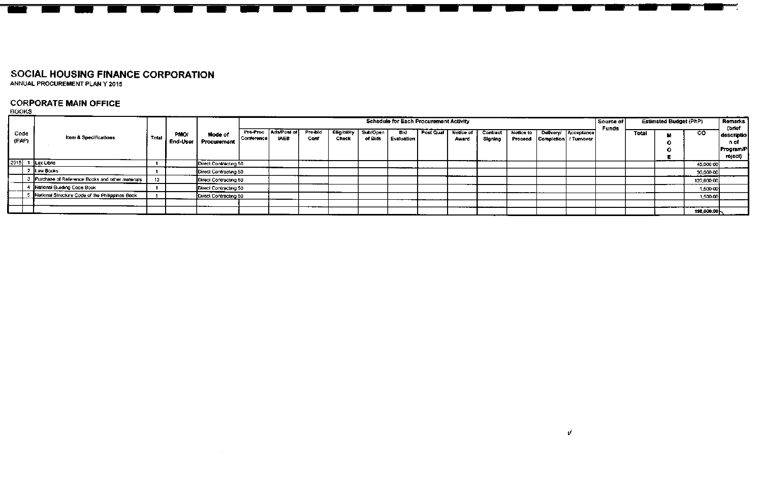ANNUAL PROCUREMENT PLAN Y 2015

### **CORPORATE MAIN OFFICE**

**BOOKS** 

|               |                                                 |       |                  |                        |                        |                            |                 |                      |                     | <b>Schedule for Each Procurement Activity</b> |                  |                    |                     |                      |                           |                          | l Source of<br><b>Funds</b> |              | <b>Estimated Budget (PhP)</b> |            | Remarks<br>(brief           |
|---------------|-------------------------------------------------|-------|------------------|------------------------|------------------------|----------------------------|-----------------|----------------------|---------------------|-----------------------------------------------|------------------|--------------------|---------------------|----------------------|---------------------------|--------------------------|-----------------------------|--------------|-------------------------------|------------|-----------------------------|
| Code<br>(PAP) | Item & Specifications                           | Total | PMO/<br>End-User | Mode of<br>Procurement | Pre-Proc<br>Conference | Ads/Post of<br><b>IAEB</b> | Pre-bid<br>Conf | Eligibility<br>Check | Sub/Open<br>of Bids | Bid<br>Evaluation                             | <b>Post Qual</b> | Notice of<br>Award | Contract<br>Slanina | Notice to<br>Proceed | Delivery/<br>  Completion | Acceptance<br>/ Turnover |                             | <b>Total</b> |                               | co         | descriptio<br>n of          |
|               |                                                 |       |                  |                        |                        |                            |                 |                      |                     |                                               |                  |                    |                     |                      |                           |                          |                             |              |                               |            | <b>Program/F</b><br>roject) |
| 2015          | Lex Libris                                      |       |                  | Direct Contracting 50  |                        |                            |                 |                      |                     |                                               |                  |                    |                     |                      |                           |                          |                             |              |                               | 45,000 00  |                             |
|               | Law Books                                       |       |                  | Direct Contracting 50  |                        |                            |                 |                      |                     |                                               |                  |                    |                     |                      |                           |                          |                             |              |                               | 30,000.00  |                             |
|               | Purchase of Reference Books and other materials |       |                  | Direct Contracting 50  |                        |                            |                 |                      |                     |                                               |                  |                    |                     |                      |                           |                          |                             |              |                               | 120,000.00 |                             |
|               | Mational Building Code Book                     |       |                  | Direct Contracting 50  |                        |                            |                 |                      |                     |                                               |                  |                    |                     |                      |                           |                          |                             |              |                               | 1,500.00   |                             |
|               | National Structure Code of the Philippines Book |       |                  | EDirect Contracting 50 |                        |                            |                 |                      |                     |                                               |                  |                    |                     |                      |                           |                          |                             |              |                               | 1,500.00   |                             |
|               |                                                 |       |                  |                        |                        |                            |                 |                      |                     |                                               |                  |                    |                     |                      |                           |                          |                             |              |                               |            |                             |
|               |                                                 |       |                  |                        |                        |                            |                 |                      |                     |                                               |                  |                    |                     |                      |                           |                          |                             |              |                               | 198,000.00 |                             |

 $\boldsymbol{\mathcal{U}}$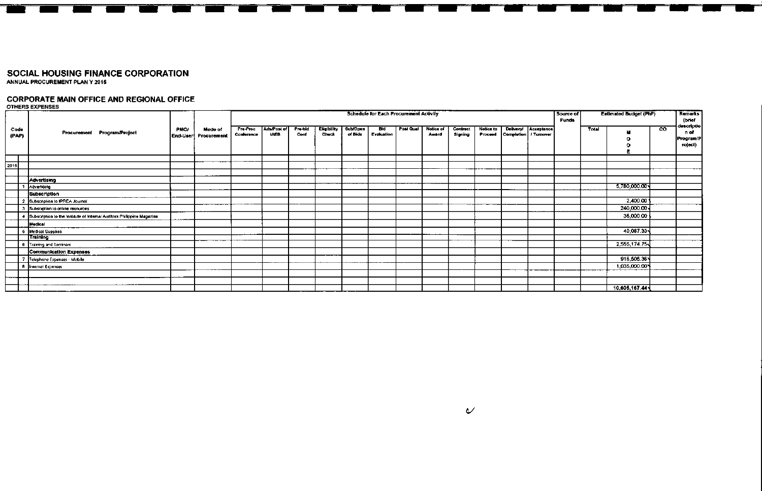ANNUAL PROCUREMENT PLAN Y 2015

## CORPORATE MAIN OFFICE AND REGIONAL OFFICE OTHERS EXPENSES

|               |  | Procurement Program/Project                                              |                  |                        |                        |                            |                 |                      |                            | <b>Schedule for Each Procurement Activity</b> |           |                    |                            |                      |                         |                      | Source of<br><b>Funds</b> |       | <b>Estimated Budget (PhP)</b> |                | Remarks<br>(brief                          |
|---------------|--|--------------------------------------------------------------------------|------------------|------------------------|------------------------|----------------------------|-----------------|----------------------|----------------------------|-----------------------------------------------|-----------|--------------------|----------------------------|----------------------|-------------------------|----------------------|---------------------------|-------|-------------------------------|----------------|--------------------------------------------|
| Code<br>(PAP) |  |                                                                          | PMO/<br>End-User | Mode of<br>Procurement | Pre-Proc<br>Conference | Ads/Post of<br><b>IAEB</b> | Pre-bid<br>Conf | Eligibility<br>Check | <b>Sub/Open</b><br>of Bids | Bid<br>Evaluation                             | Post Qual | Notice of<br>Award | <b>Contract</b><br>Signing | Notice to<br>Proceed | Completion   / Turnover | Delivery/ Acceptance |                           | Total |                               | $\overline{c}$ | descriptio<br>n of<br>Program/P<br>roject) |
|               |  |                                                                          |                  |                        |                        |                            |                 |                      |                            |                                               |           |                    |                            |                      |                         |                      |                           |       |                               |                |                                            |
| 2015          |  |                                                                          |                  |                        |                        |                            |                 |                      |                            |                                               |           |                    |                            |                      |                         |                      |                           |       |                               |                |                                            |
|               |  |                                                                          |                  |                        |                        |                            |                 |                      |                            |                                               |           |                    |                            |                      |                         |                      |                           |       |                               |                |                                            |
|               |  | Advertising                                                              |                  |                        |                        |                            |                 |                      |                            |                                               |           |                    |                            |                      |                         |                      |                           |       |                               |                |                                            |
|               |  | Advertising                                                              |                  |                        |                        |                            |                 |                      |                            |                                               |           |                    |                            |                      |                         |                      |                           |       | 5,780,000.00                  |                |                                            |
|               |  | <b>Subscription</b>                                                      |                  |                        |                        |                            |                 |                      |                            |                                               |           |                    |                            |                      |                         |                      |                           |       |                               |                |                                            |
|               |  | 2 Subscription to IPREA Journal                                          |                  |                        |                        |                            |                 |                      |                            |                                               |           |                    |                            |                      |                         |                      |                           |       | 2,400.00                      |                |                                            |
|               |  | 3 Subsciption to online resources                                        |                  |                        |                        |                            |                 |                      |                            |                                               |           |                    |                            |                      |                         |                      |                           |       | 240,000.00                    |                |                                            |
|               |  | 4 Subscription to the institute of Internal Auditors Philippine Magazine |                  |                        |                        |                            |                 |                      |                            |                                               |           |                    |                            |                      |                         |                      |                           |       | 36,000.00                     |                |                                            |
|               |  | Medical                                                                  |                  |                        |                        |                            |                 |                      |                            |                                               |           |                    |                            |                      |                         |                      |                           |       |                               |                |                                            |
|               |  | 5 Medical Supplies                                                       |                  |                        |                        |                            |                 |                      |                            |                                               |           |                    |                            |                      |                         |                      |                           |       | 40,087.33                     |                |                                            |
|               |  | <b>Training</b>                                                          |                  |                        |                        |                            |                 |                      |                            |                                               |           |                    |                            |                      |                         |                      |                           |       |                               |                |                                            |
|               |  | <b>B</b> Training and Seminars                                           |                  |                        |                        |                            |                 |                      |                            |                                               |           |                    |                            |                      |                         |                      |                           |       | 2,555,174.75                  |                |                                            |
|               |  | Communication Expenses                                                   |                  |                        |                        |                            |                 |                      |                            |                                               |           |                    |                            |                      |                         |                      |                           |       |                               |                |                                            |
|               |  | 7 Telephone Expenses - Mobile                                            |                  |                        |                        |                            |                 |                      |                            |                                               |           |                    |                            |                      |                         |                      |                           |       | 916,505.36                    |                |                                            |
|               |  | 8 Internet Expenses                                                      |                  |                        |                        |                            |                 |                      |                            |                                               |           |                    |                            |                      |                         |                      |                           |       | 1,035,000.00                  |                |                                            |
|               |  |                                                                          |                  |                        |                        |                            |                 |                      |                            |                                               |           |                    |                            |                      |                         |                      |                           |       |                               |                |                                            |
|               |  |                                                                          |                  |                        |                        |                            |                 |                      |                            |                                               |           |                    |                            |                      |                         |                      |                           |       |                               |                |                                            |
|               |  |                                                                          |                  |                        |                        |                            |                 |                      |                            |                                               |           |                    |                            |                      |                         |                      |                           |       | 10,605,167.44                 |                |                                            |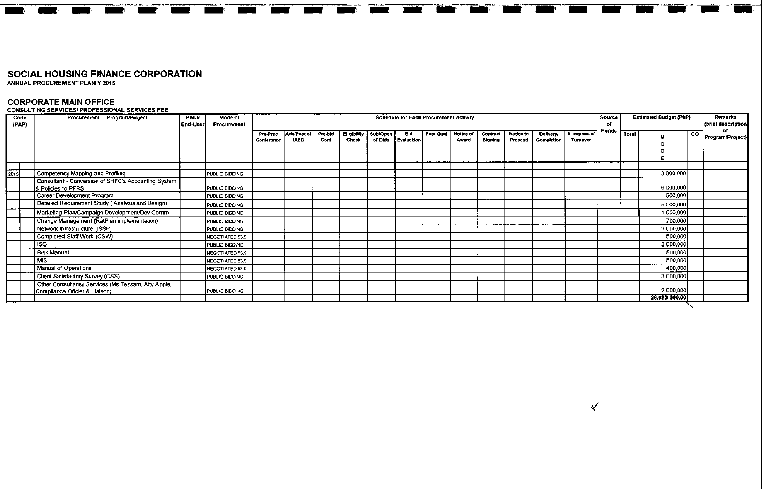$\overline{\phantom{a}}$  ,  $\overline{\phantom{a}}$  ,  $\overline{\phantom{a}}$  ,  $\overline{\phantom{a}}$  ,  $\overline{\phantom{a}}$  ,  $\overline{\phantom{a}}$  ,  $\overline{\phantom{a}}$  ,  $\overline{\phantom{a}}$  ,  $\overline{\phantom{a}}$  ,  $\overline{\phantom{a}}$  ,  $\overline{\phantom{a}}$  ,  $\overline{\phantom{a}}$  ,  $\overline{\phantom{a}}$  ,  $\overline{\phantom{a}}$  ,  $\overline{\phantom{a}}$  ,  $\overline{\phantom{a}}$ 

ANNUAL PROCUREMENT PLAN Y 2015

 $\overline{\phantom{a}}$  -  $\overline{\phantom{a}}$  -  $\overline{\phantom{a}}$ 

#### **CORPORATE MAIN OFFICE**

#### CONSULTING SERVICES/ PROFESSIONAL SERVICES FEE

| Code<br>(PAP) | Procurement Program/Project                                                         | <b>PMO/</b><br>End-User | Mode of<br>Procurement | <b>Schedule for Each Procurement Activity</b> |                            |                 |                      |                     |                   |           |                    |                     |                      |                         | Source<br>o            | <b>Estimated Budget (PhP)</b> |       |               | <b>Remarks</b><br>(brief description |                        |
|---------------|-------------------------------------------------------------------------------------|-------------------------|------------------------|-----------------------------------------------|----------------------------|-----------------|----------------------|---------------------|-------------------|-----------|--------------------|---------------------|----------------------|-------------------------|------------------------|-------------------------------|-------|---------------|--------------------------------------|------------------------|
|               |                                                                                     |                         |                        | Pre-Proc<br>Conference                        | Ads/Post of<br><b>IAEB</b> | Pre-bid<br>Conf | Eligibliity<br>Check | Sub/Open<br>of Bids | Bid<br>Evaluation | Post Qual | Notice of<br>Award | Contract<br>Signing | Notice to<br>Proceed | Delivery/<br>Completion | Acceptance/<br>Tumover | <b>Funds</b>                  | Total |               | CO.                                  | оf<br>Program/Project) |
|               |                                                                                     |                         |                        |                                               |                            |                 |                      |                     |                   |           |                    |                     |                      |                         |                        |                               |       |               |                                      |                        |
| 2015          | Competency Mapping and Profiling                                                    |                         | PUBLIC BIDDING         |                                               |                            |                 |                      |                     |                   |           |                    |                     |                      |                         |                        |                               |       | 3,000,000     |                                      |                        |
|               | Consultant - Conversion of SHFC's Accounting System<br>& Policies to PFRS           |                         | PUBLIC BIDDING         |                                               |                            |                 |                      |                     |                   |           |                    |                     |                      |                         |                        |                               |       | 6,000,000     |                                      |                        |
|               | Career Development Program                                                          |                         | PUBLIC BIDDING         |                                               |                            |                 |                      |                     |                   |           |                    |                     |                      |                         |                        |                               |       | 600,000       |                                      |                        |
|               | Detailed Requirement Study (Analysis and Design)                                    |                         | <b>PUBLIC BIDDING</b>  |                                               |                            |                 |                      |                     |                   |           |                    |                     |                      |                         |                        |                               |       | 5,000,000     |                                      |                        |
|               | Marketing Plan/Campaign Development/Dev Comm                                        |                         | PUBLIC BIDDING         |                                               |                            |                 |                      |                     |                   |           |                    |                     |                      |                         |                        |                               |       | 1,000,000     |                                      |                        |
|               | Change Management (RatPlan implementation)                                          |                         | PUBLIC BIDDING         |                                               |                            |                 |                      |                     |                   |           |                    |                     |                      |                         |                        |                               |       | 700,000       |                                      |                        |
|               | Network Infrastructure (ISSP)                                                       |                         | PUBLIC BIDDING         |                                               |                            |                 |                      |                     |                   |           |                    |                     |                      |                         |                        |                               |       | 3,000,000     |                                      |                        |
|               | Completed Staff Work (CSW)                                                          |                         | NEGOTIATED 53.9        |                                               |                            |                 |                      |                     |                   |           |                    |                     |                      |                         |                        |                               |       | 500,000       |                                      |                        |
|               | <b>ISO</b>                                                                          |                         | PUBLIC BIDDING         |                                               |                            |                 |                      |                     |                   |           |                    |                     |                      |                         |                        |                               |       | 2,000,000     |                                      |                        |
|               | <b>Risk Manual</b>                                                                  |                         | NEGOTIATED 53.9        |                                               |                            |                 |                      |                     |                   |           |                    |                     |                      |                         |                        |                               |       | 500,000       |                                      |                        |
|               | <b>MIS</b>                                                                          |                         | NEGOTIATED 53.9        |                                               |                            |                 |                      |                     |                   |           |                    |                     |                      |                         |                        |                               |       | 500,000       |                                      |                        |
|               | Manual of Operations                                                                |                         | NEGOTIATED 53.9        |                                               |                            |                 |                      |                     |                   |           |                    |                     |                      |                         |                        |                               |       | 400,000       |                                      |                        |
|               | Client Satisfactory Survey (CSS)                                                    |                         | PUBLIC BIDDING         |                                               |                            |                 |                      |                     |                   |           |                    |                     |                      |                         |                        |                               |       | 3,000,000     |                                      |                        |
|               | Other Consultansy Services (Ms Tessam, Atty Apple,<br>Compliance Offcier & Liaison) |                         | PUBLIC BIDDING         |                                               |                            |                 |                      |                     |                   |           |                    |                     |                      |                         |                        |                               |       | 2,880,000     |                                      |                        |
|               |                                                                                     |                         |                        |                                               |                            |                 |                      |                     |                   |           |                    |                     |                      |                         |                        |                               |       | 29,080,000.00 |                                      |                        |

 $\checkmark$